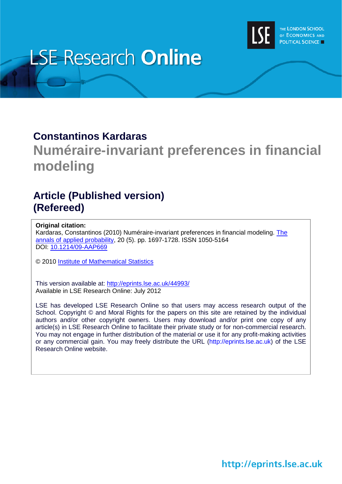

# **LSE Research Online**

### **Constantinos Kardaras**

# **Numéraire-invariant preferences in financial modeling**

## **Article (Published version) (Refereed)**

#### **Original citation:**

Kardaras, Constantinos (2010) Numéraire-invariant preferences in financial modeling. The [annals of applied probability,](http://www.imstat.org/aap/) 20 (5). pp. 1697-1728. ISSN 1050-5164 DOI: [10.1214/09-AAP669](http://dx.doi.org/10.1214/09-AAP669)

© 2010 [Institute of Mathematical Statistics](http://www.imstat.org/)

This version available at:<http://eprints.lse.ac.uk/44993/> Available in LSE Research Online: July 2012

LSE has developed LSE Research Online so that users may access research output of the School. Copyright © and Moral Rights for the papers on this site are retained by the individual authors and/or other copyright owners. Users may download and/or print one copy of any article(s) in LSE Research Online to facilitate their private study or for non-commercial research. You may not engage in further distribution of the material or use it for any profit-making activities or any commercial gain. You may freely distribute the URL (http://eprints.lse.ac.uk) of the LSE Research Online website.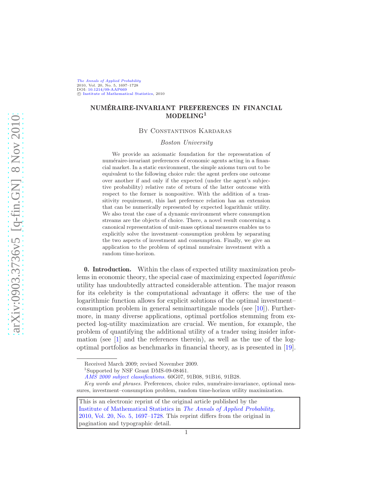[The Annals of Applied Probability](http://www.imstat.org/aap/) 2010, Vol. 20, No. 5, 1697–1728 DOI: [10.1214/09-AAP669](http://dx.doi.org/10.1214/09-AAP669) C [Institute of Mathematical Statistics,](http://www.imstat.org) 2010

#### NUMERAIRE-INVARIANT PREFERENCES IN FINANCIAL ´  $MODELING<sup>1</sup>$

By Constantinos Kardaras

#### *Boston University*

We provide an axiomatic foundation for the representation of numéraire-invariant preferences of economic agents acting in a financial market. In a static environment, the simple axioms turn out to be equivalent to the following choice rule: the agent prefers one outcome over another if and only if the expected (under the agent's subjective probability) relative rate of return of the latter outcome with respect to the former is nonpositive. With the addition of a transitivity requirement, this last preference relation has an extension that can be numerically represented by expected logarithmic utility. We also treat the case of a dynamic environment where consumption streams are the objects of choice. There, a novel result concerning a canonical representation of unit-mass optional measures enables us to explicitly solve the investment–consumption problem by separating the two aspects of investment and consumption. Finally, we give an application to the problem of optimal numéraire investment with a random time-horizon.

0. Introduction. Within the class of expected utility maximization problems in economic theory, the special case of maximizing expected *logarithmic* utility has undoubtedly attracted considerable attention. The major reason for its celebrity is the computational advantage it offers: the use of the logarithmic function allows for explicit solutions of the optimal investment– consumption problem in general semimartingale models (see [\[10\]](#page-33-0)). Furthermore, in many diverse applications, optimal portfolios stemming from expected log-utility maximization are crucial. We mention, for example, the problem of quantifying the additional utility of a trader using insider information (see [\[1](#page-33-1)] and the references therein), as well as the use of the logoptimal portfolios as benchmarks in financial theory, as is presented in [\[19](#page-34-0)].

Received March 2009; revised November 2009.

<sup>1</sup> Supported by NSF Grant DMS-09-08461.

[AMS 2000 subject classifications.](http://www.ams.org/msc/) 60G07, 91B08, 91B16, 91B28.

Key words and phrases. Preferences, choice rules, numéraire-invariance, optional measures, investment–consumption problem, random time-horizon utility maximization.

This is an electronic reprint of the original article published by the [Institute of Mathematical Statistics](http://www.imstat.org) in *[The Annals of Applied Probability](http://www.imstat.org/aap/)*, [2010, Vol. 20, No. 5, 1697–1728.](http://dx.doi.org/10.1214/09-AAP669) This reprint differs from the original in pagination and typographic detail.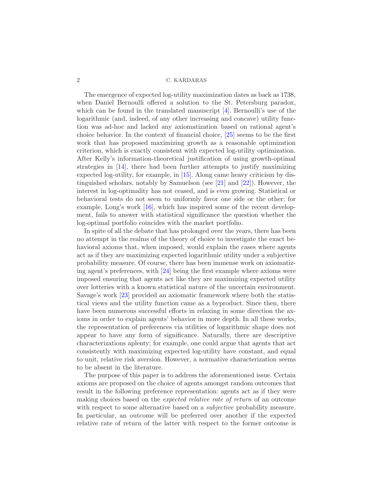The emergence of expected log-utility maximization dates as back as 1738, when Daniel Bernoulli offered a solution to the St. Petersburg paradox, which can be found in the translated manuscript  $[4]$ . Bernoulli's use of the logarithmic (and, indeed, of any other increasing and concave) utility function was ad-hoc and lacked any axiomatization based on rational agent's choice behavior. In the context of financial choice, [\[25](#page-34-1)] seems to be the first work that has proposed maximizing growth as a reasonable optimization criterion, which is exactly consistent with expected log-utility optimization. After Kelly's information-theoretical justification of using growth-optimal strategies in [\[14\]](#page-33-3), there had been further attempts to justify maximizing expected log-utility, for example, in [\[15](#page-34-2)]. Along came heavy criticism by distinguished scholars, notably by Samuelson (see [\[21\]](#page-34-3) and [\[22](#page-34-4)]). However, the interest in log-optimality has not ceased, and is even growing. Statistical or behavioral tests do not seem to uniformly favor one side or the other; for example, Long's work [\[16](#page-34-5)], which has inspired some of the recent development, fails to answer with statistical significance the question whether the log-optimal portfolio coincides with the market portfolio.

In spite of all the debate that has prolonged over the years, there has been no attempt in the realms of the theory of choice to investigate the exact behavioral axioms that, when imposed, would explain the cases where agents act as if they are maximizing expected logarithmic utility under a subjective probability measure. Of course, there has been immense work on axiomatizing agent's preferences, with [\[24](#page-34-6)] being the first example where axioms were imposed ensuring that agents act like they are maximizing expected utility over lotteries with a known statistical nature of the uncertain environment. Savage's work [\[23](#page-34-7)] provided an axiomatic framework where both the statistical views and the utility function came as a byproduct. Since then, there have been numerous successful efforts in relaxing in some direction the axioms in order to explain agents' behavior in more depth. In all these works, the representation of preferences via utilities of logarithmic shape does not appear to have any form of significance. Naturally, there are descriptive characterizations aplenty; for example, one could argue that agents that act consistently with maximizing expected log-utility have constant, and equal to unit, relative risk aversion. However, a normative characterization seems to be absent in the literature.

The purpose of this paper is to address the aforementioned issue. Certain axioms are proposed on the choice of agents amongst random outcomes that result in the following preference representation: agents act as if they were making choices based on the *expected relative rate of return* of an outcome with respect to some alternative based on a *subjective* probability measure. In particular, an outcome will be preferred over another if the expected relative rate of return of the latter with respect to the former outcome is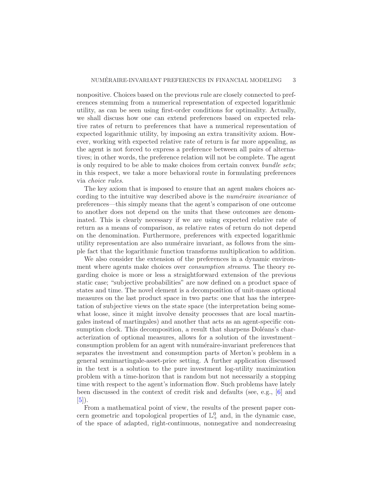nonpositive. Choices based on the previous rule are closely connected to preferences stemming from a numerical representation of expected logarithmic utility, as can be seen using first-order conditions for optimality. Actually, we shall discuss how one can extend preferences based on expected relative rates of return to preferences that have a numerical representation of expected logarithmic utility, by imposing an extra transitivity axiom. However, working with expected relative rate of return is far more appealing, as the agent is not forced to express a preference between all pairs of alternatives; in other words, the preference relation will not be complete. The agent is only required to be able to make choices from certain convex *bundle sets*; in this respect, we take a more behavioral route in formulating preferences via *choice rules*.

The key axiom that is imposed to ensure that an agent makes choices according to the intuitive way described above is the *numéraire invariance* of preferences—this simply means that the agent's comparison of one outcome to another does not depend on the units that these outcomes are denominated. This is clearly necessary if we are using expected relative rate of return as a means of comparison, as relative rates of return do not depend on the denomination. Furthermore, preferences with expected logarithmic utility representation are also numéraire invariant, as follows from the simple fact that the logarithmic function transforms multiplication to addition.

We also consider the extension of the preferences in a dynamic environment where agents make choices over *consumption streams*. The theory regarding choice is more or less a straightforward extension of the previous static case; "subjective probabilities" are now defined on a product space of states and time. The novel element is a decomposition of unit-mass optional measures on the last product space in two parts: one that has the interpretation of subjective views on the state space (the interpretation being somewhat loose, since it might involve density processes that are local martingales instead of martingales) and another that acts as an agent-specific consumption clock. This decomposition, a result that sharpens Doléans's characterization of optional measures, allows for a solution of the investment– consumption problem for an agent with numéraire-invariant preferences that separates the investment and consumption parts of Merton's problem in a general semimartingale-asset-price setting. A further application discussed in the text is a solution to the pure investment log-utility maximization problem with a time-horizon that is random but not necessarily a stopping time with respect to the agent's information flow. Such problems have lately been discussed in the context of credit risk and defaults (see, e.g., [\[6](#page-33-4)] and  $[5]$  $[5]$ .

From a mathematical point of view, the results of the present paper concern geometric and topological properties of  $\mathbb{L}^0_+$  and, in the dynamic case, of the space of adapted, right-continuous, nonnegative and nondecreasing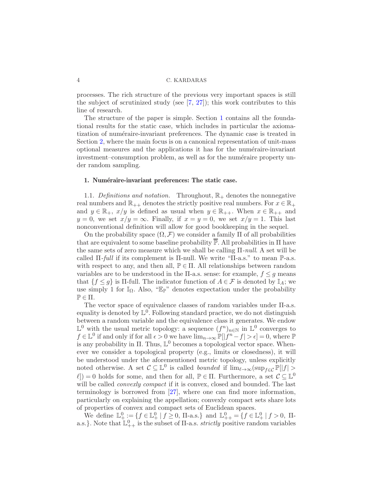processes. The rich structure of the previous very important spaces is still the subject of scrutinized study (see  $[7, 27]$  $[7, 27]$  $[7, 27]$ ); this work contributes to this line of research.

The structure of the paper is simple. Section [1](#page-4-0) contains all the foundational results for the static case, which includes in particular the axiomatization of numéraire-invariant preferences. The dynamic case is treated in Section [2,](#page-18-0) where the main focus is on a canonical representation of unit-mass optional measures and the applications it has for the numéraire-invariant investment–consumption problem, as well as for the numéraire property under random sampling.

#### <span id="page-4-0"></span>1. Numéraire-invariant preferences: The static case.

<span id="page-4-1"></span>1.1. *Definitions and notation.* Throughout,  $\mathbb{R}_+$  denotes the nonnegative real numbers and  $\mathbb{R}_{++}$  denotes the strictly positive real numbers. For  $x \in \mathbb{R}_+$ and  $y \in \mathbb{R}_+$ ,  $x/y$  is defined as usual when  $y \in \mathbb{R}_{++}$ . When  $x \in \mathbb{R}_{++}$  and  $y = 0$ , we set  $x/y = \infty$ . Finally, if  $x = y = 0$ , we set  $x/y = 1$ . This last nonconventional definition will allow for good bookkeeping in the sequel.

On the probability space  $(\Omega, \mathcal{F})$  we consider a family  $\Pi$  of all probabilities that are equivalent to some baseline probability  $\mathbb{P}$ . All probabilities in  $\Pi$  have the same sets of zero measure which we shall be calling Π*-null*. A set will be called Π*-full* if its complement is Π-null. We write "Π-a.s." to mean P-a.s. with respect to any, and then all,  $\mathbb{P} \in \Pi$ . All relationships between random variables are to be understood in the  $\Pi$ -a.s. sense: for example,  $f \leq g$  means that  $\{f \leq g\}$  is  $\Pi$ -full. The indicator function of  $A \in \mathcal{F}$  is denoted by  $\mathbb{I}_A$ ; we use simply 1 for  $\mathbb{I}_{\Omega}$ . Also, "E<sub>P</sub>" denotes expectation under the probability  $\mathbb{P} \in \Pi$ .

The vector space of equivalence classes of random variables under Π-a.s. equality is denoted by  $\mathbb{L}^0$ . Following standard practice, we do not distinguish between a random variable and the equivalence class it generates. We endow  $\mathbb{L}^0$  with the usual metric topology: a sequence  $(f^n)_{n \in \mathbb{N}}$  in  $\mathbb{L}^0$  converges to  $f \in \mathbb{L}^0$  if and only if for all  $\epsilon > 0$  we have  $\lim_{n \to \infty} \mathbb{P}[|f^n - f| > \epsilon] = 0$ , where  $\mathbb{P}$ is any probability in  $\Pi$ . Thus,  $\mathbb{L}^0$  becomes a topological vector space. Whenever we consider a topological property (e.g., limits or closedness), it will be understood under the aforementioned metric topology, unless explicitly noted otherwise. A set  $C \subseteq \mathbb{L}^0$  is called *bounded* if  $\lim_{\ell \to \infty} (\sup_{f \in C} \mathbb{P}[|f| >$  $\ell$ ) = 0 holds for some, and then for all,  $\mathbb{P} \in \Pi$ . Furthermore, a set  $\mathcal{C} \subseteq \mathbb{L}^0$ will be called *convexly compact* if it is convex, closed and bounded. The last terminology is borrowed from [\[27\]](#page-34-8), where one can find more information, particularly on explaining the appellation; convexly compact sets share lots of properties of convex and compact sets of Euclidean spaces.

We define  $\mathbb{L}^0_+ := \{f \in \mathbb{L}^0_+ \mid f \geq 0, \text{ II-a.s.}\}\$ and  $\mathbb{L}^0_{++} = \{f \in \mathbb{L}^0_+ \mid f > 0, \text{ II-} \}$ a.s.). Note that  $\mathbb{L}_{++}^0$  is the subset of  $\Pi$ -a.s. *strictly* positive random variables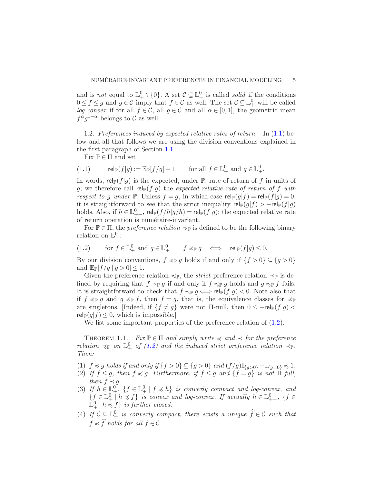and is *not* equal to  $\mathbb{L}^0_+ \setminus \{0\}$ . A set  $\mathcal{C} \subseteq \mathbb{L}^0_+$  is called *solid* if the conditions  $0 \le f \le g$  and  $g \in \mathcal{C}$  imply that  $f \in \mathcal{C}$  as well. The set  $\mathcal{C} \subseteq \mathbb{L}^0_+$  will be called *log-convex* if for all  $f \in \mathcal{C}$ , all  $g \in \mathcal{C}$  and all  $\alpha \in [0,1]$ , the geometric mean  $f^{\alpha}g^{1-\alpha}$  belongs to C as well.

1.2. *Preferences induced by expected relative rates of return.* In [\(1.1\)](#page-5-0) below and all that follows we are using the division conventions explained in the first paragraph of Section [1.1.](#page-4-1)

<span id="page-5-0"></span>Fix  $\mathbb{P} \in \Pi$  and set

(1.1) 
$$
\operatorname{rel}_{\mathbb{P}}(f|g) := \mathbb{E}_{\mathbb{P}}[f/g] - 1 \quad \text{for all } f \in \mathbb{L}^0_+ \text{ and } g \in \mathbb{L}^0_+.
$$

In words, rel<sub>P</sub>(f|g) is the expected, under P, rate of return of f in units of g; we therefore call  $rel_{\mathbb{P}}(f|g)$  the *expected relative rate of return of* f *with respect to g under*  $\mathbb{P}$ . Unless  $f = g$ , in which case  $rel_{\mathbb{P}}(g|f) = rel_{\mathbb{P}}(f|g) = 0$ , it is straightforward to see that the strict inequality  $rel_{\mathbb{P}}(g|f) > -rel_{\mathbb{P}}(f|g)$ holds. Also, if  $h \in \mathbb{L}^0_{++}$ ,  $\mathsf{rel}_{\mathbb{P}}(f/h|g/h) = \mathsf{rel}_{\mathbb{P}}(f|g)$ ; the expected relative rate of return operation is numéraire-invariant.

For  $\mathbb{P} \in \Pi$ , the *preference relation*  $\preccurlyeq_{\mathbb{P}}$  is defined to be the following binary relation on  $\mathbb{L}^0_+$ :

<span id="page-5-1"></span>(1.2) for 
$$
f \in \mathbb{L}^0_+
$$
 and  $g \in \mathbb{L}^0_+$   $f \preccurlyeq_{\mathbb{P}} g \iff \text{rel}_{\mathbb{P}}(f|g) \leq 0$ .

By our division conventions,  $f \preccurlyeq_{\mathbb{P}} g$  holds if and only if  $\{f > 0\} \subseteq \{g > 0\}$ and  $\mathbb{E}_{\mathbb{P}}[f/g \mid g > 0] \leq 1$ .

Given the preference relation  $\preccurlyeq_{\mathbb{P}}$ , the *strict* preference relation  $\preccurlyeq_{\mathbb{P}}$  is defined by requiring that  $f \prec_{\mathbb{P}} g$  if and only if  $f \preccurlyeq_{\mathbb{P}} g$  holds and  $g \preccurlyeq_{\mathbb{P}} f$  fails. It is straightforward to check that  $f \prec_{\mathbb{P}} g \iff \text{rel}_{\mathbb{P}}(f|g) < 0$ . Note also that if  $f \preccurlyeq_{\mathbb{P}} g$  and  $g \preccurlyeq_{\mathbb{P}} f$ , then  $f = g$ , that is, the equivalence classes for  $\preccurlyeq_{\mathbb{P}} f$ are singletons. [Indeed, if  $\{f \neq g\}$  were not II-null, then  $0 \leq -\text{rel}_{\mathbb{P}}(f|g)$  $rel_{\mathbb{P}}(g|f) \leq 0$ , which is impossible.

<span id="page-5-2"></span>We list some important properties of the preference relation of  $(1.2)$ .

THEOREM 1.1. *Fix*  $\mathbb{P} \in \Pi$  *and simply write*  $\preccurlyeq$  *and*  $\preccurlyeq$  *for the preference relation*  $\preccurlyeq_{\mathbb{P}}$  *on*  $\mathbb{L}^0_+$  *of* [\(1.2\)](#page-5-1) *and the induced strict preference relation*  $\preccurlyeq_{\mathbb{P}}$ *. Then:*

- (1)  $f \preccurlyeq g$  *holds if and only if*  ${f > 0}$  ⊆  ${g > 0}$  *and*  $(f/g)$   $\mathbb{I}_{\{g > 0\}}$  +  $\mathbb{I}_{\{g=0\}}$   $\preccurlyeq 1$ *.*
- (2) If  $f \leq g$ , then  $f \preccurlyeq g$ . Furthermore, if  $f \leq g$  and  $\{f = g\}$  is not  $\Pi$ -full, *then*  $f \prec g$ *.*
- (3) If  $h \in \mathbb{L}^0_+$ ,  $\{f \in \mathbb{L}^0_+ \mid f \preccurlyeq h\}$  *is convexly compact and log-convex, and*  $\{f \in \mathbb{L}^0_+ \mid h \preccurlyeq f\}$  *is convex and log-convex. If actually*  $h \in \mathbb{L}^0_{++}$ ,  $\{f \in \mathbb{L}^0_+\}$  $\mathbb{L}^0_+$  |  $h \preccurlyeq f$  *is further closed.*
- (4) If  $C \subseteq \mathbb{L}^0_+$  *is convexly compact, there exists a unique*  $\widehat{f} \in C$  *such that*  $f \preccurlyeq \widehat{f}$  *holds for all*  $f \in \mathcal{C}$ *.*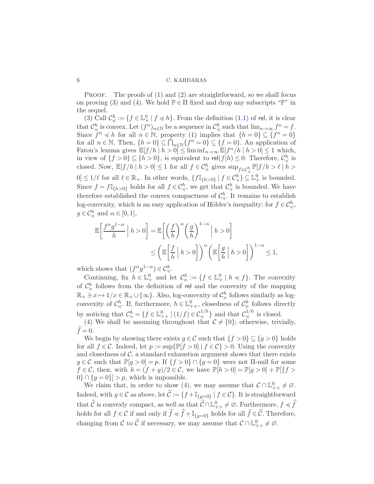PROOF. The proofs of  $(1)$  and  $(2)$  are straightforward, so we shall focus on proving (3) and (4). We hold  $\mathbb{P} \in \Pi$  fixed and drop any subscripts "P" in the sequel.

(3) Call  $\mathcal{C}^h_{\preccurlyeq} := \{ f \in \mathbb{L}^0_+ \mid f \preccurlyeq h \}.$  From the definition  $(1.1)$  of rel, it is clear that  $\mathcal{C}^h_{\preceq}$  is convex. Let  $(f^n)_{n\in\mathbb{N}}$  be a sequence in  $\mathcal{C}^h_{\preceq}$  such that  $\lim_{n\to\infty} f^n = f$ . Since  $f^n \preccurlyeq h$  for all  $n \in \mathbb{N}$ , property (1) implies that  $\{h=0\} \subseteq \{f^n=0\}$ for all  $n \in \mathbb{N}$ . Then,  $\{h=0\} \subseteq \bigcap_{n \in \mathbb{N}} \{f^n = 0\} \subseteq \{f=0\}$ . An application of Fatou's lemma gives  $\mathbb{E}[f/h \mid h > 0] \leq \liminf_{n \to \infty} \mathbb{E}[f^n/h \mid h > 0] \leq 1$  which, in view of  $\{f > 0\} \subseteq \{h > 0\}$ , is equivalent to  $rel(f|h) \leq 0$ . Therefore,  $\mathcal{C}^h_{\preccurlyeq}$  is closed. Now,  $\mathbb{E}[f/h \mid h > 0] \le 1$  for all  $f \in C^h_{\preccurlyeq}$  gives  $\sup_{f \in C^h_{\preccurlyeq}} \mathbb{P}[f/h > \ell \mid h >$  $0 \leq 1/\ell$  for all  $\ell \in \mathbb{R}_+$ . In other words,  $\{f\mathbb{I}_{\{h>0\}} \mid f \in C^h_{\preccurlyeq}\} \subseteq \mathbb{L}^0_+$  is bounded. Since  $f = f\mathbb{I}_{\{h>0\}}$  holds for all  $f \in \mathcal{C}^h_{\preccurlyeq}$ , we get that  $\mathcal{C}^h_{\preccurlyeq}$  is bounded. We have therefore established the convex compactness of  $\mathcal{C}^h_{\preccurlyeq}$ . It remains to establish log-convexity, which is an easy application of Hölder's inequality: for  $f \in \mathcal{C}_{\preccurlyeq}^h$ ,  $g \in \mathcal{C}^h_{\preccurlyeq}$  and  $\alpha \in [0, 1],$ 

$$
\mathbb{E}\left[\frac{f^{\alpha}g^{1-\alpha}}{h} \middle| h > 0\right] = \mathbb{E}\left[\left(\frac{f}{h}\right)^{\alpha}\left(\frac{g}{h}\right)^{1-\alpha} \middle| h > 0\right]
$$

$$
\leq \left(\mathbb{E}\left[\frac{f}{h} \middle| h > 0\right]\right)^{\alpha}\left(\mathbb{E}\left[\frac{g}{h} \middle| h > 0\right]\right)^{1-\alpha} \leq 1,
$$

which shows that  $(f^{\alpha}g^{1-\alpha}) \in C_{\preccurlyeq}^{h}$ .

Continuing, fix  $h \in \mathbb{L}^0_+$  and let  $\mathcal{C}^h_{\succcurlyeq} := \{ f \in \mathbb{L}^0_+ \mid h \preccurlyeq f \}.$  The convexity of  $\mathcal{C}_{\succcurlyeq}^h$  follows from the definition of rel and the convexity of the mapping  $\mathbb{R}_+ \ni x \mapsto 1/x \in \mathbb{R}_+ \cup \{\infty\}$ . Also, log-convexity of  $\mathcal{C}_{\succcurlyeq}^h$  follows similarly as logconvexity of  $\mathcal{C}^h_{\preccurlyeq}$ . If, furthermore,  $h \in \mathbb{L}^0_{++}$ , closedness of  $\mathcal{C}^h_{\succcurlyeq}$  follows directly by noticing that  $\mathcal{C}^h_{\succcurlyeq} = \{f \in \mathbb{L}^0_{++} \mid (1/f) \in \mathcal{C}^{1/h}_{\preccurlyeq}\}$  and that  $\mathcal{C}^{1/h}_{\preccurlyeq}$  $\stackrel{1}{\preccurlyeq}$  is closed.

(4) We shall be assuming throughout that  $\mathcal{C} \neq \{0\}$ ; otherwise, trivially,  $\widehat{f}= 0.$ 

We begin by showing there exists  $g \in \mathcal{C}$  such that  $\{f > 0\} \subseteq \{g > 0\}$  holds for all  $f \in \mathcal{C}$ . Indeed, let  $p := \sup\{\mathbb{P}[f > 0] \mid f \in \mathcal{C}\} > 0$ . Using the convexity and closedness of  $C$ , a standard exhaustion argument shows that there exists  $g \in \mathcal{C}$  such that  $\mathbb{P}[g > 0] = p$ . If  $\{f > 0\} \cap \{g = 0\}$  were not  $\Pi$ -null for some  $f \in \mathcal{C}$ , then, with  $h = (f + g)/2 \in \mathcal{C}$ , we have  $\mathbb{P}[h > 0] = \mathbb{P}[g > 0] + \mathbb{P}[\{f > 0\}]$  $0\} \cap \{g=0\}$  > p, which is impossible.

We claim that, in order to show (4), we may assume that  $C \cap \mathbb{L}^0_{++} \neq \emptyset$ . Indeed, with  $g \in \mathcal{C}$  as above, let  $\mathcal{C} := \{f + \mathbb{I}_{\{g=0\}} \mid f \in \mathcal{C}\}\.$  It is straightforward that  $\tilde{C}$  is convexly compact, as well as that  $\tilde{C} \cap \mathbb{L}^0_{++} \neq \emptyset$ . Furthermore,  $f \preccurlyeq \hat{f}$ holds for all  $f \in \mathcal{C}$  if and only if  $\widetilde{f} \preccurlyeq \widehat{f} + \mathbb{I}_{\{g=0\}}$  holds for all  $\widetilde{f} \in \widetilde{\mathcal{C}}$ . Therefore, changing from C to  $\tilde{C}$  if necessary, we may assume that  $C \cap \mathbb{L}^0_{++} \neq \emptyset$ .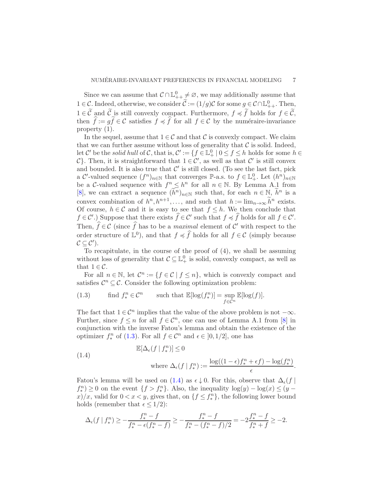Since we can assume that  $C \cap \mathbb{L}^0_{++} \neq \emptyset$ , we may additionally assume that  $1 \in \mathcal{C}$ . Indeed, otherwise, we consider  $\mathcal{C} := (1/g)\mathcal{C}$  for some  $g \in \mathcal{C} \cap \mathbb{L}^0_{++}$ . Then,  $1 \in \widetilde{\mathcal{C}}$  and  $\widetilde{\mathcal{C}}$  is still convexly compact. Furthermore,  $f \preccurlyeq \widetilde{f}$  holds for  $f \in \widetilde{\mathcal{C}}$ , then  $\hat{f}:= g\tilde{f} \in \mathcal{C}$  satisfies  $f \preccurlyeq \hat{f}$  for all  $f \in \mathcal{C}$  by the numéraire-invariance property (1).

In the sequel, assume that  $1 \in \mathcal{C}$  and that  $\mathcal{C}$  is convexly compact. We claim that we can further assume without loss of generality that  $\mathcal C$  is solid. Indeed, let  $\mathcal{C}'$  be the *solid hull* of  $\mathcal{C}$ , that is,  $\mathcal{C}' := \{f \in \mathbb{L}^0_+ \mid 0 \le f \le h$  holds for some  $h \in$ C}. Then, it is straightforward that  $1 \in \mathcal{C}'$ , as well as that  $\mathcal{C}'$  is still convex and bounded. It is also true that  $\mathcal{C}'$  is still closed. (To see the last fact, pick a C'-valued sequence  $(f^n)_{n\in\mathbb{N}}$  that converges  $\mathbb{P}\text{-a.s.}$  to  $f\in\mathbb{L}^0_+$ . Let  $(h^n)_{n\in\mathbb{N}}$ be a C-valued sequence with  $f^n \leq h^n$  for all  $n \in \mathbb{N}$ . By Lemma A.1 from [\[8](#page-33-7)], we can extract a sequence  $(\tilde{h}^n)_{n\in\mathbb{N}}$  such that, for each  $n \in \mathbb{N}$ ,  $\tilde{h}^n$  is a convex combination of  $h^n, h^{n+1}, \ldots$ , and such that  $h := \lim_{n \to \infty} \tilde{h}^n$  exists. Of course,  $h \in \mathcal{C}$  and it is easy to see that  $f \leq h$ . We then conclude that  $f \in \mathcal{C}'$ .) Suppose that there exists  $\widehat{f} \in \mathcal{C}'$  such that  $f \preccurlyeq \widehat{f}$  holds for all  $f \in \mathcal{C}'$ . Then,  $\hat{f} \in \mathcal{C}$  (since  $\hat{f}$  has to be a *maximal* element of  $\mathcal{C}'$  with respect to the order structure of  $\mathbb{L}^0$ ), and that  $f \preccurlyeq \widehat{f}$  holds for all  $f \in \mathcal{C}$  (simply because  $C \subseteq C'$ ).

To recapitulate, in the course of the proof of (4), we shall be assuming without loss of generality that  $C \subseteq \mathbb{L}^0_+$  is solid, convexly compact, as well as that  $1 \in \mathcal{C}$ .

For all  $n \in \mathbb{N}$ , let  $\mathcal{C}^n := \{f \in \mathcal{C} \mid f \leq n\}$ , which is convexly compact and satisfies  $\mathcal{C}^n \subseteq \mathcal{C}$ . Consider the following optimization problem:

<span id="page-7-0"></span>(1.3) find 
$$
f_*^n \in C^n
$$
 such that  $\mathbb{E}[\log(f_*^n)] = \sup_{f \in C^n} \mathbb{E}[\log(f)].$ 

The fact that  $1 \in \mathcal{C}^n$  implies that the value of the above problem is not  $-\infty$ . Further, since  $f \leq n$  for all  $f \in \mathcal{C}^n$ , one can use of Lemma A.1 from [\[8](#page-33-7)] in conjunction with the inverse Fatou's lemma and obtain the existence of the optimizer  $f_*^n$  of [\(1.3\)](#page-7-0). For all  $f \in \mathcal{C}^n$  and  $\epsilon \in [0, 1/2]$ , one has

<span id="page-7-1"></span>(1.4) 
$$
\mathbb{E}[\Delta_{\epsilon}(f \mid f_{*}^{n})] \leq 0
$$
  
where  $\Delta_{\epsilon}(f \mid f_{*}^{n}) := \frac{\log((1 - \epsilon)f_{*}^{n} + \epsilon f) - \log(f_{*}^{n})}{\epsilon}.$ 

Fatou's lemma will be used on [\(1.4\)](#page-7-1) as  $\epsilon \downarrow 0$ . For this, observe that  $\Delta_{\epsilon}(f \mid$  $f_*^n$ ) ≥ 0 on the event  $\{f > f_*^n\}$ . Also, the inequality  $\log(y) - \log(x) \le (y$ x $\frac{f}{x}$ , valid for  $0 < x < y$ , gives that, on  $\{f \leq f_*^n\}$ , the following lower bound holds (remember that  $\epsilon \leq 1/2$ ):

$$
\Delta_{\epsilon}(f \mid f^n_{*}) \geq -\frac{f^n_{*} - f}{f^n_{*} - \epsilon(f^n_{*} - f)} \geq -\frac{f^n_{*} - f}{f^n_{*} - (f^n_{*} - f)/2} = -2\frac{f^n_{*} - f}{f^n_{*} + f} \geq -2.
$$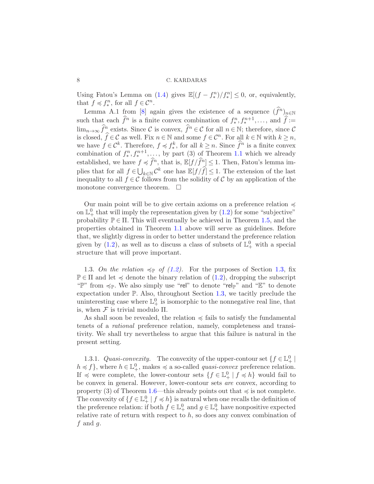Using Fatou's Lemma on [\(1.4\)](#page-7-1) gives  $\mathbb{E}[(f - f_*^n)/f_*^n] \leq 0$ , or, equivalently, that  $f \preccurlyeq f_*^n$ , for all  $f \in \mathcal{C}^n$ .

Lemma A.1 from [\[8](#page-33-7)] again gives the existence of a sequence  $(\widehat{f}^n)_{n\in\mathbb{N}}$ such that each  $\hat{f}^n$  is a finite convex combination of  $f_*^n, f_*^{n+1}, \ldots$ , and  $\hat{f} :=$  $\lim_{n\to\infty}\widehat{f}_{\lambda}^n$  exists. Since C is convex,  $\widehat{f}^n \in \mathcal{C}$  for all  $n \in \mathbb{N}$ ; therefore, since C is closed,  $\widehat{f} \in \mathcal{C}$  as well. Fix  $n \in \mathbb{N}$  and some  $f \in \mathcal{C}^n$ . For all  $k \in \mathbb{N}$  with  $k \geq n$ , we have  $f \in \mathcal{C}^k$ . Therefore,  $f \preccurlyeq f^k$ , for all  $k \geq n$ . Since  $\hat{f}^n$  is a finite convex combination of  $f^n_*, f^{n+1}_*, \ldots$ , by part (3) of Theorem [1.1](#page-5-2) which we already established, we have  $f \preccurlyeq \hat{f}^n$ , that is,  $\mathbb{E}[f / \hat{f}^n] \leq 1$ . Then, Fatou's lemma implies that for all  $f \in \bigcup_{k \in \mathbb{N}} C^k$  one has  $\mathbb{E}[f/\hat{f}] \leq 1$ . The extension of the last inequality to all  $f \in \mathcal{C}$  follows from the solidity of  $\mathcal{C}$  by an application of the monotone convergence theorem.  $\Box$ 

Our main point will be to give certain axioms on a preference relation  $\preccurlyeq$ on  $\mathbb{L}^0_+$  that will imply the representation given by  $(1.2)$  for some "subjective" probability  $\mathbb{P} \in \Pi$ . This will eventually be achieved in Theorem [1.5,](#page-14-0) and the properties obtained in Theorem [1.1](#page-5-2) above will serve as guidelines. Before that, we slightly digress in order to better understand the preference relation given by [\(1.2\)](#page-5-1), as well as to discuss a class of subsets of  $\mathbb{L}^0_+$  with a special structure that will prove important.

<span id="page-8-0"></span>1.3. On the relation  $\preccurlyeq_{\mathbb{P}}$  of [\(1.2\)](#page-5-1). For the purposes of Section [1.3,](#page-8-0) fix  $\mathbb{P} \in \Pi$  and let  $\preccurlyeq$  denote the binary relation of  $(1.2)$ , dropping the subscript "P" from  $\preccurlyeq_{\mathbb{P}}$ . We also simply use "rel" to denote "rel<sub>P</sub>" and "E" to denote expectation under  $\mathbb{P}$ . Also, throughout Section [1.3,](#page-8-0) we tacitly preclude the uninteresting case where  $\mathbb{L}^0_+$  is isomorphic to the nonnegative real line, that is, when  $\mathcal F$  is trivial modulo  $\Pi$ .

As shall soon be revealed, the relation  $\preccurlyeq$  fails to satisfy the fundamental tenets of a *rational* preference relation, namely, completeness and transitivity. We shall try nevertheless to argue that this failure is natural in the present setting.

1.3.1. *Quasi-convexity*. The convexity of the upper-contour set  $\{f \in \mathbb{L}^0_+\mid$  $h \preccurlyeq f$ , where  $h \in \mathbb{L}_{+}^{0}$ , makes  $\preccurlyeq$  a so-called *quasi-convex* preference relation. If  $\preccurlyeq$  were complete, the lower-contour sets  $\{f \in \mathbb{L}^0_+ \mid f \preccurlyeq h\}$  would fail to be convex in general. However, lower-contour sets *are* convex, according to property (3) of Theorem [1.6—](#page-16-0)this already points out that  $\preccurlyeq$  is not complete. The convexity of  $\{f \in \mathbb{L}^0_+ \mid f \preccurlyeq h\}$  is natural when one recalls the definition of the preference relation: if both  $f \in \mathbb{L}_{+}^{0}$  and  $g \in \mathbb{L}_{+}^{0}$  have nonpositive expected relative rate of return with respect to  $h$ , so does any convex combination of  $f$  and  $g$ .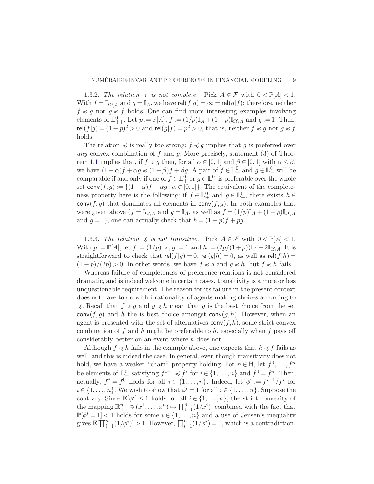1.3.2. *The relation*  $\preccurlyeq$  *is not complete.* Pick  $A \in \mathcal{F}$  with  $0 \lt \mathbb{P}[A] \lt 1$ . With  $f = \mathbb{I}_{\Omega \setminus A}$  and  $g = \mathbb{I}_A$ , we have rel $(f|g) = \infty = rel(g|f)$ ; therefore, neither  $f \preccurlyeq g$  nor  $g \preccurlyeq f$  holds. One can find more interesting examples involving elements of  $\mathbb{L}^0_{++}$ . Let  $p := \mathbb{P}[A]$ ,  $f := (1/p)\mathbb{I}_A + (1-p)\mathbb{I}_{\Omega \setminus A}$  and  $g := 1$ . Then,  $rel(f|g) = (1-p)^2 > 0$  and  $rel(g|f) = p^2 > 0$ , that is, neither  $f \preccurlyeq g$  nor  $g \preccurlyeq f$ holds.

The relation  $\preccurlyeq$  is really too strong:  $f \preccurlyeq g$  implies that g is preferred over *any* convex combination of f and g. More precisely, statement (3) of Theo-rem [1.1](#page-5-2) implies that, if  $f \preccurlyeq g$  then, for all  $\alpha \in [0,1]$  and  $\beta \in [0,1]$  with  $\alpha \leq \beta$ , we have  $(1 - \alpha)f + \alpha g \preccurlyeq (1 - \beta)f + \beta g$ . A pair of  $f \in \mathbb{L}_+^0$  and  $g \in \mathbb{L}_+^0$  will be comparable if and only if one of  $f \in \mathbb{L}^0_+$  or  $g \in \mathbb{L}^0_+$  is preferable over the whole set conv $(f, g) := \{(1 - \alpha)f + \alpha g \mid \alpha \in [0, 1]\}.$  The equivalent of the completeness property here is the following: if  $f \in \mathbb{L}_+^0$  and  $g \in \mathbb{L}_+^0$ , there exists  $h \in$  $conv(f, g)$  that dominates all elements in  $conv(f, g)$ . In both examples that were given above  $(f = \mathbb{I}_{\Omega \setminus A}$  and  $g = \mathbb{I}_A$ , as well as  $f = (1/p)\mathbb{I}_A + (1-p)\mathbb{I}_{\Omega \setminus A}$ and  $g = 1$ ), one can actually check that  $h = (1 - p)f + pg$ .

<span id="page-9-0"></span>1.3.3. *The relation*  $\preccurlyeq$  *is not transitive.* Pick  $A \in \mathcal{F}$  with  $0 < \mathbb{P}[A] < 1$ . With  $p := \mathbb{P}[A]$ , let  $f := (1/p)\mathbb{I}_A$ ,  $g := 1$  and  $h := (2p/(1+p))\mathbb{I}_A + 2\mathbb{I}_{\Omega \setminus A}$ . It is straightforward to check that  $rel(f|g) = 0$ ,  $rel(g|h) = 0$ , as well as  $rel(f|h) =$  $(1-p)/(2p) > 0$ . In other words, we have  $f \preccurlyeq g$  and  $g \preccurlyeq h$ , but  $f \preccurlyeq h$  fails.

Whereas failure of completeness of preference relations is not considered dramatic, and is indeed welcome in certain cases, transitivity is a more or less unquestionable requirement. The reason for its failure in the present context does not have to do with irrationality of agents making choices according to  $\preccurlyeq$ . Recall that  $f \preccurlyeq g$  and  $g \preccurlyeq h$  mean that g is the best choice from the set conv $(f, g)$  and h the is best choice amongst conv $(g, h)$ . However, when an agent is presented with the set of alternatives  $conv(f, h)$ , some strict convex combination of f and h might be preferable to h, especially when f pays off considerably better on an event where h does not.

Although  $f \preccurlyeq h$  fails in the example above, one expects that  $h \preccurlyeq f$  fails as well, and this is indeed the case. In general, even though transitivity does not hold, we have a weaker "chain" property holding. For  $n \in \mathbb{N}$ , let  $f^0, \ldots, f^n$ be elements of  $\mathbb{L}^0_+$  satisfying  $f^{i-1} \preccurlyeq f^i$  for  $i \in \{1, ..., n\}$  and  $f^0 = f^n$ . Then, actually,  $f^i = f^0$  holds for all  $i \in \{1, ..., n\}$ . Indeed, let  $\phi^i := f^{i-1}/f^i$  for  $i \in \{1, \ldots, n\}$ . We wish to show that  $\phi^i = 1$  for all  $i \in \{1, \ldots, n\}$ . Suppose the contrary. Since  $\mathbb{E}[\phi^i] \leq 1$  holds for all  $i \in \{1, ..., n\}$ , the strict convexity of the mapping  $\mathbb{R}^n_{++} \ni (x^1, \ldots, x^n) \mapsto \prod_{i=1}^n (1/x^i)$ , combined with the fact that  $\mathbb{P}[\phi^i=1]<1$  holds for some  $i\in\{1,\ldots,n\}$  and a use of Jensen's inequality gives  $\mathbb{E}[\prod_{i=1}^n (1/\phi^i)] > 1$ . However,  $\prod_{i=1}^n (1/\phi^i) = 1$ , which is a contradiction.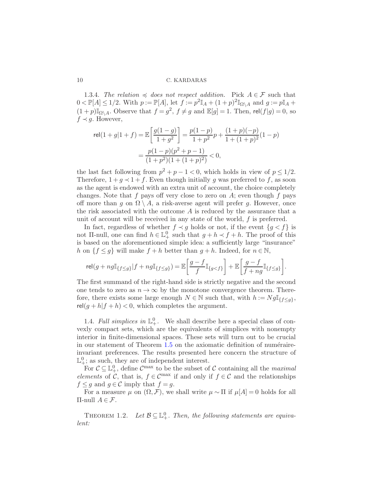1.3.4. *The relation*  $\preccurlyeq$  *does not respect addition.* Pick  $A \in \mathcal{F}$  such that  $0 \lt \mathbb{P}[A] \le 1/2$ . With  $p := \mathbb{P}[A]$ , let  $f := p^2 \mathbb{I}_A + (1+p)^2 \mathbb{I}_{\Omega \setminus A}$  and  $g := p\mathbb{I}_A +$  $(1+p)\mathbb{I}_{\Omega\setminus A}$ . Observe that  $f=g^2$ ,  $f\neq g$  and  $\mathbb{E}[g]=1$ . Then,  $\text{rel}(f|g)=0$ , so  $f \prec g$ . However,

$$
\begin{split} \text{rel}(1+g|1+f) = \mathbb{E}\bigg[ \frac{g(1-g)}{1+g^2} \bigg] = \frac{p(1-p)}{1+p^2}p + \frac{(1+p)(-p)}{1+(1+p)^2}(1-p) \\ = \frac{p(1-p)(p^2+p-1)}{(1+p^2)(1+(1+p)^2)} < 0, \end{split}
$$

the last fact following from  $p^2 + p - 1 < 0$ , which holds in view of  $p \leq 1/2$ . Therefore,  $1 + g \prec 1 + f$ . Even though initially g was preferred to f, as soon as the agent is endowed with an extra unit of account, the choice completely changes. Note that f pays off very close to zero on  $A$ ; even though f pays off more than g on  $\Omega \setminus A$ , a risk-averse agent will prefer g. However, once the risk associated with the outcome  $A$  is reduced by the assurance that a unit of account will be received in any state of the world,  $f$  is preferred.

In fact, regardless of whether  $f \prec g$  holds or not, if the event  $\{g \prec f\}$  is not II-null, one can find  $h \in \mathbb{L}^0_+$  such that  $g + h \prec f + h$ . The proof of this is based on the aforementioned simple idea: a sufficiently large "insurance" h on  $\{f \leq g\}$  will make  $f + h$  better than  $g + h$ . Indeed, for  $n \in \mathbb{N}$ ,

$$
\mathrm{rel}(g+ng\mathbb{I}_{\{f\leq g\}}|f+ng\mathbb{I}_{\{f\leq g\}})=\mathbb{E}\bigg[\frac{g-f}{f}\mathbb{I}_{\{g
$$

The first summand of the right-hand side is strictly negative and the second one tends to zero as  $n \to \infty$  by the monotone convergence theorem. Therefore, there exists some large enough  $N \in \mathbb{N}$  such that, with  $h := Ng\mathbb{I}_{\{f \leq g\}}$ ,  $rel(g+h|f+h) < 0$ , which completes the argument.

1.4. *Full simplices in*  $\mathbb{L}^0_+$ . We shall describe here a special class of convexly compact sets, which are the equivalents of simplices with nonempty interior in finite-dimensional spaces. These sets will turn out to be crucial in our statement of Theorem  $1.5$  on the axiomatic definition of numéraireinvariant preferences. The results presented here concern the structure of  $\mathbb{L}^0_+$ ; as such, they are of independent interest.

For  $C \subseteq \mathbb{L}^0_+$ , define  $C^{\max}$  to be the subset of C containing all the *maximal elements* of C, that is,  $f \in \mathcal{C}^{\max}$  if and only if  $f \in \mathcal{C}$  and the relationships  $f \leq g$  and  $g \in \mathcal{C}$  imply that  $f = g$ .

<span id="page-10-0"></span>For a measure  $\mu$  on  $(\Omega, \mathcal{F})$ , we shall write  $\mu \sim \Pi$  if  $\mu[A] = 0$  holds for all Π-null A ∈ F.

THEOREM 1.2. Let  $\mathcal{B} \subseteq \mathbb{L}^0_+$ . Then, the following statements are equiva*lent:*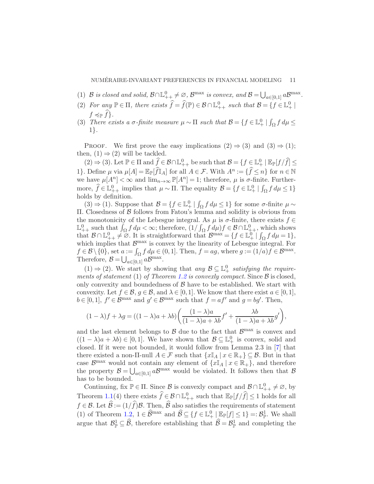- (1) B *is closed and solid,*  $B \cap \mathbb{L}^0_{++} \neq \emptyset$ ,  $B^{\max}$  *is convex, and*  $B = \bigcup_{a \in [0,1]} aB^{\max}$ .
- (2) *For any*  $\mathbb{P} \in \Pi$ , there exists  $\hat{f} = \hat{f}(\mathbb{P}) \in \mathcal{B} \cap \mathbb{L}^0_{++}$  such that  $\mathcal{B} = \{f \in \mathbb{L}^0_+ \mid$  $f \preccurlyeq_{\mathbb{P}} f$ .
- (3) *There exists a*  $\sigma$ -finite measure  $\mu \sim \Pi$  such that  $\mathcal{B} = \{f \in \mathbb{L}^0_+ \mid \int_{\Omega} f d\mu \leq$ 1}*.*

PROOF. We first prove the easy implications  $(2) \Rightarrow (3)$  and  $(3) \Rightarrow (1)$ ; then,  $(1) \Rightarrow (2)$  will be tackled.

 $(2) \Rightarrow (3)$ . Let  $\mathbb{P} \in \Pi$  and  $\widehat{f} \in \mathcal{B} \cap \mathbb{L}^0_{++}$  be such that  $\mathcal{B} = \{f \in \mathbb{L}^0_+ \mid \mathbb{E}_{\mathbb{P}}[f/\widehat{f}] \leq \mathbb{E}_{\Pi}^0\}$ 1}. Define  $\mu$  via  $\mu[A] = \mathbb{E}_{\mathbb{P}}[\hat{f} \mathbb{I}_A]$  for all  $A \in \mathcal{F}$ . With  $A^n := \{\hat{f} \leq n\}$  for  $n \in \mathbb{N}$ we have  $\mu[A^n] < \infty$  and  $\lim_{n \to \infty} \mathbb{P}[A^n] = 1$ ; therefore,  $\mu$  is  $\sigma$ -finite. Furthermore,  $\widehat{f} \in \mathbb{L}_{++}^0$  implies that  $\mu \sim \Pi$ . The equality  $\mathcal{B} = \{f \in \mathbb{L}_+^0 \mid \int_{\Omega} f d\mu \leq 1\}$ holds by definition.

(3) ⇒ (1). Suppose that  $\mathcal{B} = \{f \in \mathbb{L}^0_+ | \int_{\Omega} f d\mu \le 1\}$  for some  $\sigma$ -finite  $\mu \sim$ Π. Closedness of B follows from Fatou's lemma and solidity is obvious from the monotonicity of the Lebesgue integral. As  $\mu$  is  $\sigma$ -finite, there exists  $f \in$  $\mathbb{L}_{++}^0$  such that  $\int_{\Omega} f d\mu < \infty$ ; therefore,  $(1/\int_{\Omega} f d\mu) f \in \mathcal{B} \cap \mathbb{L}_{++}^0$ , which shows that  $\mathcal{B} \cap \mathbb{L}^0_{++} \neq \emptyset$ . It is straightforward that  $\mathcal{B}^{\max} = \{f \in \mathbb{L}^0_+ \mid \int_{\Omega} f d\mu = 1\},$ which implies that  $\mathcal{B}^{\max}$  is convex by the linearity of Lebesgue integral. For  $f \in \mathcal{B} \setminus \{0\}$ , set  $a := \int_{\Omega} f d\mu \in (0, 1]$ . Then,  $f = ag$ , where  $g := (1/a)f \in \mathcal{B}^{\max}$ . Therefore,  $\mathcal{B} = \bigcup_{a \in [0,1]} a \mathcal{B}^{\max}$ .

(1) ⇒ (2). We start by showing that *any*  $\mathcal{B} \subseteq \mathbb{L}^0_+$  *satisfying the requirements of statement* (1) *of Theorem [1.2](#page-10-0) is convexly compact.* Since  $\beta$  is closed, only convexity and boundedness of  $\beta$  have to be established. We start with convexity. Let  $f \in \mathcal{B}$ ,  $g \in \mathcal{B}$ , and  $\lambda \in [0,1]$ . We know that there exist  $a \in [0,1]$ ,  $b \in [0,1], f' \in \mathcal{B}^{\max}$  and  $g' \in \mathcal{B}^{\max}$  such that  $f = af'$  and  $g = bg'$ . Then,

$$
(1 - \lambda)f + \lambda g = ((1 - \lambda)a + \lambda b)\left(\frac{(1 - \lambda)a}{(1 - \lambda)a + \lambda b}f' + \frac{\lambda b}{(1 - \lambda)a + \lambda b}g'\right),
$$

and the last element belongs to  $\beta$  due to the fact that  $\beta^{\max}$  is convex and  $((1 - \lambda)a + \lambda b) \in [0, 1]$ . We have shown that  $\mathcal{B} \subseteq \mathbb{L}_{+}^{0}$  is convex, solid and closed. If it were not bounded, it would follow from Lemma 2.3 in [\[7](#page-33-6)] that there existed a non- $\Pi$ -null  $A \in \mathcal{F}$  such that  $\{x \mathbb{I}_A \mid x \in \mathbb{R}_+\} \subseteq \mathcal{B}$ . But in that case  $\mathcal{B}^{\max}$  would not contain any element of  $\{x\mathbb{I}_A \mid x \in \mathbb{R}_+\}$ , and therefore the property  $\mathcal{B} = \bigcup_{a \in [0,1]} a\mathcal{B}^{\text{max}}$  would be violated. It follows then that  $\mathcal{B}$ has to be bounded.

Continuing, fix  $\mathbb{P} \in \Pi$ . Since  $\mathcal{B}$  is convexly compact and  $\mathcal{B} \cap \mathbb{L}^0_{++} \neq \emptyset$ , by Theorem [1.1\(](#page-5-2)4) there exists  $\hat{f} \in \mathcal{B} \cap \mathbb{L}^0_{++}$  such that  $\mathbb{E}_{\mathbb{P}}[f/\hat{f}] \leq 1$  holds for all  $f \in \mathcal{B}$ . Let  $\widehat{\mathcal{B}} := (1/\widehat{f})\mathcal{B}$ . Then,  $\widehat{\mathcal{B}}$  also satisfies the requirements of statement (1) of Theorem [1.2,](#page-10-0)  $1 \in \widehat{\mathcal{B}}^{\max}$  and  $\widehat{\mathcal{B}} \subseteq \{f \in \mathbb{L}^0_+ \mid \mathbb{E}_{\mathbb{P}}[f] \leq 1\} =: \mathcal{B}_{\mathbb{P}}^1$ . We shall argue that  $\mathcal{B}_\mathbb{P}^1 \subseteq \widehat{\mathcal{B}}$ , therefore establishing that  $\widehat{\mathcal{B}} = \mathcal{B}_\mathbb{P}^1$  and completing the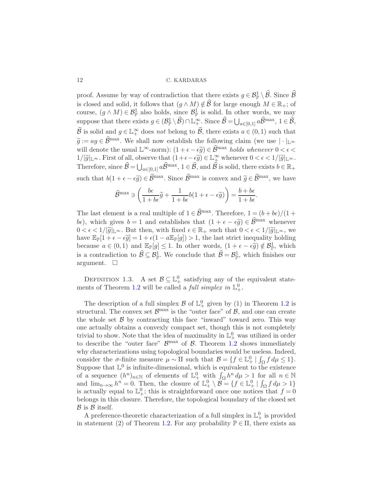proof. Assume by way of contradiction that there exists  $g \in \mathcal{B}^1_{\mathbb{P}} \setminus \widehat{\mathcal{B}}$ . Since  $\widehat{\mathcal{B}}$ is closed and solid, it follows that  $(g \wedge M) \notin \widehat{\mathcal{B}}$  for large enough  $M \in \mathbb{R}_+$ ; of course,  $(g \wedge M) \in \mathcal{B}_{\mathbb{P}}^1$  also holds, since  $\mathcal{B}_{\mathbb{P}}^1$  is solid. In other words, we may suppose that there exists  $g \in (\mathcal{B}^1_{\mathbb{P}} \setminus \widehat{\mathcal{B}}) \cap \mathbb{L}^{\infty}_+$ . Since  $\widehat{\mathcal{B}} = \bigcup_{a \in [0,1]} a \widehat{\mathcal{B}}^{\max}$ ,  $1 \in \widehat{\mathcal{B}}$ ,  $\widehat{\mathcal{B}}$  is solid and  $g \in \mathbb{L}_+^{\infty}$  does *not* belong to  $\widehat{\mathcal{B}}$ , there exists  $a \in (0,1)$  such that  $\widetilde{g} := ag \in \widehat{\mathcal{B}}^{\text{max}}$ . We shall now establish the following claim (we use  $|\cdot|_{\mathbb{L}^{\infty}}$ will denote the usual  $\mathbb{L}^{\infty}$ -norm):  $(1 + \epsilon - \epsilon \widetilde{g}) \in \widehat{\mathcal{B}}^{\text{max}}$  *holds whenever*  $0 < \epsilon <$  $1/|\widetilde{g}|_{\mathbb{L}^{\infty}}$ . First of all, observe that  $(1+\epsilon-\epsilon\widetilde{g})\in \mathbb{L}^{\infty}_{+}$  whenever  $0<\epsilon<1/|\widetilde{g}|_{\mathbb{L}^{\infty}}$ . Therefore, since  $\widehat{\mathcal{B}} = \bigcup_{a \in [0,1]} a \widehat{\mathcal{B}}^{\text{max}}, 1 \in \widehat{\mathcal{B}}$ , and  $\widehat{\mathcal{B}}$  is solid, there exists  $b \in \mathbb{R}_+$ such that  $b(1 + \epsilon - \epsilon \tilde{g}) \in \hat{\mathcal{B}}^{\text{max}}$ . Since  $\hat{\mathcal{B}}^{\text{max}}$  is convex and  $\tilde{g} \in \hat{\mathcal{B}}^{\text{max}}$ , we have

$$
\widehat{\mathcal{B}}^{\max} \ni \left( \frac{b\epsilon}{1+b\epsilon} \widetilde{g} + \frac{1}{1+b\epsilon} b(1+\epsilon-\epsilon \widetilde{g}) \right) = \frac{b+b\epsilon}{1+b\epsilon}.
$$

The last element is a real multiple of  $1 \in \widehat{\mathcal{B}}^{\max}$ . Therefore,  $1 = (b + b\epsilon)/(1 +$ b $\epsilon$ ), which gives  $b = 1$  and establishes that  $(1 + \epsilon - \epsilon \tilde{g}) \in \hat{\mathcal{B}}^{\text{max}}$  whenever  $0 < \epsilon < 1/\lvert \widetilde{g} \rvert_{\mathbb{L}^{\infty}}$ . But then, with fixed  $\epsilon \in \mathbb{R}_+$  such that  $0 < \epsilon < 1/\lvert \widetilde{g} \rvert_{\mathbb{L}^{\infty}}$ , we have  $\mathbb{E}_{\mathbb{P}}[1+\epsilon-\epsilon \tilde{g}]=1+\epsilon(1-a\mathbb{E}_{\mathbb{P}}[g])>1$ , the last strict inequality holding because  $a \in (0,1)$  and  $\mathbb{E}_{\mathbb{P}}[g] \leq 1$ . In other words,  $(1 + \epsilon - \epsilon \tilde{g}) \notin \mathcal{B}_{\mathbb{P}}^1$ , which is a contradiction to  $\widehat{\mathcal{B}} \subseteq \mathcal{B}_{\mathbb{P}}^1$ . We conclude that  $\widehat{\mathcal{B}} = \mathcal{B}_{\mathbb{P}}^1$ , which finishes our argument.  $\square$ 

DEFINITION 1.3. A set  $\mathcal{B} \subseteq \mathbb{L}^0_+$  satisfying any of the equivalent state-ments of Theorem [1.2](#page-10-0) will be called a *full simplex in*  $\mathbb{L}^0_+$ .

The description of a full simplex  $\mathcal{B}$  of  $\mathbb{L}^0_+$  given by (1) in Theorem [1.2](#page-10-0) is structural. The convex set  $\mathcal{B}^{\max}$  is the "outer face" of  $\mathcal{B}$ , and one can create the whole set  $\beta$  by contracting this face "inward" toward zero. This way one actually obtains a convexly compact set, though this is not completely trivial to show. Note that the idea of maximality in  $\mathbb{L}^0_+$  was utilized in order to describe the "outer face"  $\mathcal{B}^{\text{max}}$  of  $\mathcal{B}$ . Theorem [1.2](#page-10-0) shows immediately why characterizations using topological boundaries would be useless. Indeed, consider the  $\sigma$ -finite measure  $\mu \sim \Pi$  such that  $\mathcal{B} = \{f \in \mathbb{L}^0_+ \mid \int_{\Omega} f d\mu \leq 1\}.$ Suppose that  $\mathbb{L}^0$  is infinite-dimensional, which is equivalent to the existence of a sequence  $(h^n)_{n\in\mathbb{N}}$  of elements of  $\mathbb{L}^0_+$  with  $\int_{\Omega} h^n d\mu > 1$  for all  $n \in \mathbb{N}$ and  $\lim_{n\to\infty} h^n = 0$ . Then, the closure of  $\mathbb{L}^0_+ \setminus \mathcal{B} = \{f \in \mathbb{L}^0_+ \mid \int_{\Omega} f d\mu > 1\}$ is actually equal to  $\mathbb{L}^0_+$ ; this is straightforward once one notices that  $f = 0$ belongs in this closure. Therefore, the topological boundary of the closed set  $\mathcal B$  is  $\mathcal B$  itself.

A preference-theoretic characterization of a full simplex in  $\mathbb{L}^0_+$  is provided in statement (2) of Theorem [1.2.](#page-10-0) For any probability  $\mathbb{P} \in \Pi$ , there exists an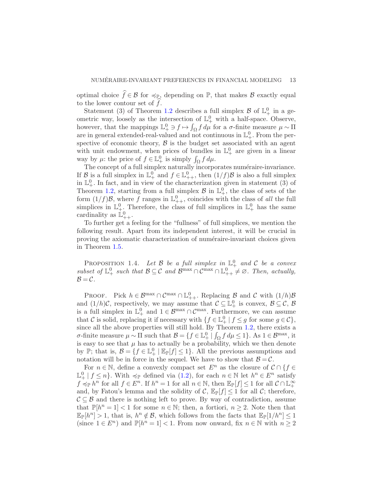optimal choice  $\hat{f} \in \mathcal{B}$  for  $\preccurlyeq_{\mathbb{P}}$ , depending on  $\mathbb{P}$ , that makes  $\mathcal{B}$  exactly equal to the lower contour set of  $f$ .

Statement (3) of Theorem [1.2](#page-10-0) describes a full simplex  $\mathcal{B}$  of  $\mathbb{L}^0_+$  in a geometric way, loosely as the intersection of  $\mathbb{L}^0_+$  with a half-space. Observe, however, that the mappings  $\mathbb{L}^0_+ \ni f \mapsto \int_{\Omega} f d\mu$  for a  $\sigma$ -finite measure  $\mu \sim \Pi$ are in general extended-real-valued and not continuous in  $\mathbb{L}^0_+$ . From the perspective of economic theory,  $\beta$  is the budget set associated with an agent with unit endowment, when prices of bundles in  $\mathbb{L}^0_+$  are given in a linear way by  $\mu$ : the price of  $f \in \mathbb{L}^0_+$  is simply  $\int_{\Omega} f d\mu$ .

The concept of a full simplex naturally incorporates numéraire-invariance. If B is a full simplex in  $\mathbb{L}^0_+$  and  $f \in \mathbb{L}^0_{++}$ , then  $(1/f)\mathcal{B}$  is also a full simplex in  $\mathbb{L}^0_+$ . In fact, and in view of the characterization given in statement (3) of Theorem [1.2,](#page-10-0) starting from a full simplex  $\mathcal{B}$  in  $\mathbb{L}^0_+$ , the class of sets of the form  $(1/f)\mathcal{B}$ , where f ranges in  $\mathbb{L}^0_{++}$ , coincides with the class of *all* the full simplices in  $\mathbb{L}^0_+$ . Therefore, the class of full simplices in  $\mathbb{L}^0_+$  has the same cardinality as  $\mathbb{L}^0_{++}$ .

To further get a feeling for the "fullness" of full simplices, we mention the following result. Apart from its independent interest, it will be crucial in proving the axiomatic characterization of numéraire-invariant choices given in Theorem [1.5.](#page-14-0)

<span id="page-13-0"></span>PROPOSITION 1.4. Let B be a full simplex in  $\mathbb{L}^0_+$  and C be a convex *subset of*  $\mathbb{L}^0_+$  *such that*  $\mathcal{B} \subseteq \mathcal{C}$  *and*  $\mathcal{B}^{\max} \cap \mathcal{C}^{\max} \cap \mathbb{L}^0_{++} \neq \emptyset$ . Then, actually,  $\mathcal{B} = \mathcal{C}$ .

PROOF. Pick  $h \in \mathcal{B}^{\max} \cap \mathcal{C}^{\max} \cap \mathbb{L}^0_{++}$ . Replacing  $\beta$  and  $\mathcal{C}$  with  $(1/h)\beta$ and  $(1/h)\mathcal{C}$ , respectively, we may assume that  $\mathcal{C} \subseteq \mathbb{L}^0_+$  is convex,  $\mathcal{B} \subseteq \mathcal{C}$ ,  $\mathcal{B}$ is a full simplex in  $\mathbb{L}^0_+$  and  $1 \in \mathcal{B}^{\max} \cap \mathcal{C}^{\max}$ . Furthermore, we can assume that C is solid, replacing it if necessary with  $\{f \in \mathbb{L}^0_+ \mid f \leq g \text{ for some } g \in C\}$ , since all the above properties will still hold. By Theorem [1.2,](#page-10-0) there exists a  $\sigma$ -finite measure  $\mu \sim \Pi$  such that  $\mathcal{B} = \{f \in \mathbb{L}^0_+ \mid \int_{\Omega} f d\mu \leq 1\}$ . As  $1 \in \mathcal{B}^{\max}$ , it is easy to see that  $\mu$  has to actually be a probability, which we then denote by  $\mathbb{P}$ ; that is,  $\mathcal{B} = \{f \in \mathbb{L}^0_+ \mid \mathbb{E}_{\mathbb{P}}[f] \leq 1\}$ . All the previous assumptions and notation will be in force in the sequel. We have to show that  $B = C$ .

For  $n \in \mathbb{N}$ , define a convexly compact set  $E^n$  as the closure of  $C \cap \{f \in$  $\mathbb{L}^0_+ \mid f \leq n$ . With  $\preccurlyeq_{\mathbb{P}}$  defined via  $(1.2)$ , for each  $n \in \mathbb{N}$  let  $h^n \in E^n$  satisfy  $f \preccurlyeq_{\mathbb{P}} h^n$  for all  $f \in E^n$ . If  $h^n = 1$  for all  $n \in \mathbb{N}$ , then  $\mathbb{E}_{\mathbb{P}}[f] \leq 1$  for all  $\mathcal{C} \cap \mathbb{L}^\infty_+$ and, by Fatou's lemma and the solidity of C,  $\mathbb{E}_{\mathbb{P}}[f] \leq 1$  for all C; therefore,  $\mathcal{C} \subseteq \mathcal{B}$  and there is nothing left to prove. By way of contradiction, assume that  $\mathbb{P}[h^n = 1] < 1$  for some  $n \in \mathbb{N}$ ; then, a fortiori,  $n \geq 2$ . Note then that  $\mathbb{E}_{\mathbb{P}}[h^n] > 1$ , that is,  $h^n \notin \mathcal{B}$ , which follows from the facts that  $\mathbb{E}_{\mathbb{P}}[1/h^n] \leq 1$ (since  $1 \in E^n$ ) and  $\mathbb{P}[h^n = 1] < 1$ . From now onward, fix  $n \in \mathbb{N}$  with  $n \geq 2$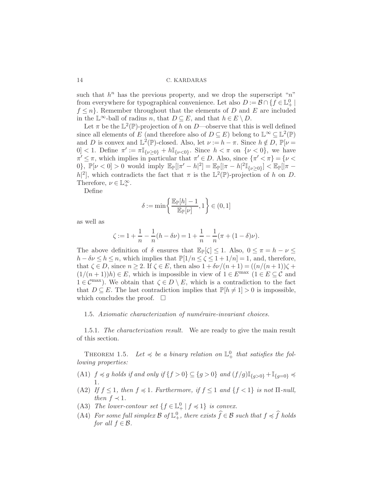such that  $h^n$  has the previous property, and we drop the superscript "n" from everywhere for typographical convenience. Let also  $D:=\mathcal{B}\cap\{f\in\mathbb{L}^0_+\mid$  $f \leq n$ . Remember throughout that the elements of D and E are included in the  $\mathbb{L}^{\infty}$ -ball of radius *n*, that  $D \subseteq E$ , and that  $h \in E \setminus D$ .

Let  $\pi$  be the  $\mathbb{L}^2(\mathbb{P})$ -projection of h on D—observe that this is well defined since all elements of E (and therefore also of  $D \subseteq E$ ) belong to  $\mathbb{L}^{\infty} \subseteq \mathbb{L}^{2}(\mathbb{P})$ and D is convex and  $\mathbb{L}^2(\mathbb{P})$ -closed. Also, let  $\nu := h - \pi$ . Since  $h \notin D$ ,  $\mathbb{P}[\nu =$ 0] < 1. Define  $\pi' := \pi \mathbb{I}_{\{\nu \geq 0\}} + h \mathbb{I}_{\{\nu < 0\}}$ . Since  $h < \pi$  on  $\{\nu < 0\}$ , we have  $\pi' \leq \pi$ , which implies in particular that  $\pi' \in D$ . Also, since  $\{\pi' < \pi\} = \{\nu <$ 0},  $\mathbb{P}[\nu < 0] > 0$  would imply  $\mathbb{E}_{\mathbb{P}}[|\pi' - h|^2] = \mathbb{E}_{\mathbb{P}}[|\pi - h|^2 \mathbb{I}_{\{\nu \ge 0\}}] < \mathbb{E}_{\mathbb{P}}[|\pi - h|^2]$  $|h|^2$ , which contradicts the fact that  $\pi$  is the  $\mathbb{L}^2(\mathbb{P})$ -projection of h on D. Therefore,  $\nu \in \mathbb{L}_+^{\infty}$ .

Define

$$
\delta:=\min\left\{\frac{\mathbb{E}_{\mathbb{P}}[h]-1}{\mathbb{E}_{\mathbb{P}}[\nu]},1\right\}\in(0,1]
$$

as well as

$$
\zeta := 1 + \frac{1}{n} - \frac{1}{n}(h - \delta \nu) = 1 + \frac{1}{n} - \frac{1}{n}(\pi + (1 - \delta)\nu).
$$

The above definition of  $\delta$  ensures that  $\mathbb{E}_{\mathbb{P}}[\zeta] \leq 1$ . Also,  $0 \leq \pi = h - \nu \leq$  $h - \delta \nu \leq h \leq n$ , which implies that  $\mathbb{P}[1/n \leq \zeta \leq 1 + 1/n] = 1$ , and, therefore, that  $\zeta \in D$ , since  $n \geq 2$ . If  $\zeta \in E$ , then also  $1 + \delta \nu/(n+1) = ((n/(n+1))\zeta +$  $(1/(n+1))h \in E$ , which is impossible in view of  $1 \in E^{\max}$   $(1 \in E \subseteq \mathcal{C}$  and  $1 \in \mathcal{C}^{\max}$ ). We obtain that  $\zeta \in D \setminus E$ , which is a contradiction to the fact that  $D \subseteq E$ . The last contradiction implies that  $\mathbb{P}[h \neq 1] > 0$  is impossible, which concludes the proof.  $\square$ 

#### <span id="page-14-0"></span>1.5. *Axiomatic characterization of numéraire-invariant choices.*

1.5.1. *The characterization result.* We are ready to give the main result of this section.

THEOREM 1.5. Let  $\leq$  be a binary relation on  $\mathbb{L}^0_+$  that satisfies the fol*lowing properties:*

- (A1)  $f \preccurlyeq g$  *holds if and only if*  $\{f > 0\} \subseteq \{g > 0\}$  *and*  $(f/g) \mathbb{I}_{\{g > 0\}} + \mathbb{I}_{\{g=0\}} \preccurlyeq$ 1*.*
- (A2) *If*  $f \leq 1$ *, then*  $f \preccurlyeq 1$ *. Furthermore, if*  $f \leq 1$  *and*  $\{f \leq 1\}$  *is not*  $\Pi$ *-null, then*  $f \prec 1$ *.*
- (A3) *The lower-contour set*  $\{f \in \mathbb{L}^0_+ | f \preccurlyeq 1\}$  *is convex.*
- (A4) For some full simplex  $\mathcal{B}$  of  $\mathbb{L}^0_+$ , there exists  $\widehat{f} \in \mathcal{B}$  such that  $f \preccurlyeq \widehat{f}$  holds *for all*  $f \in \mathcal{B}$ *.*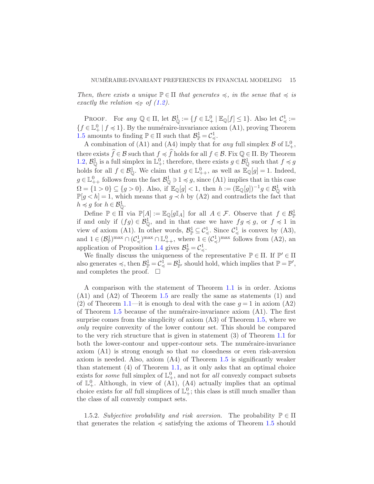*Then, there exists a unique*  $\mathbb{P} \in \Pi$  *that generates*  $\preccurlyeq$ *, in the sense that*  $\preccurlyeq$  *is exactly the relation*  $\preccurlyeq_{\mathbb{P}}$  *of* [\(1.2\)](#page-5-1)*.* 

PROOF. For  $any \mathbb{Q} \in \Pi$ , let  $\mathcal{B}_{\mathbb{Q}}^1 := \{f \in \mathbb{L}_+^0 \mid \mathbb{E}_{\mathbb{Q}}[f] \leq 1\}$ . Also let  $\mathcal{C}_{\preccurlyeq}^1 :=$  ${f \in \mathbb{L}_+^0 \mid f \preccurlyeq 1}.$  By the numéraire-invariance axiom (A1), proving Theorem [1.5](#page-14-0) amounts to finding  $\mathbb{P} \in \Pi$  such that  $\mathcal{B}_{\mathbb{P}}^1 = \mathcal{C}^1_{\preccurlyeq}$ .

A combination of (A1) and (A4) imply that for *any* full simplex  $\mathcal{B}$  of  $\mathbb{L}^0_+$ , there exists  $\widehat{f} \in \mathcal{B}$  such that  $f \preccurlyeq \widehat{f}$  holds for all  $f \in \mathcal{B}$ . Fix  $\mathbb{Q} \in \Pi$ . By Theorem [1.2,](#page-10-0)  $\mathcal{B}^1_{\mathbb{Q}}$  is a full simplex in  $\mathbb{L}^0_+$ ; therefore, there exists  $g \in \mathcal{B}^1_{\mathbb{Q}}$  such that  $f \preccurlyeq g$ holds for all  $f \in \mathcal{B}^1_{\mathbb{Q}}$ . We claim that  $g \in \mathbb{L}^0_{++}$ , as well as  $\mathbb{E}_{\mathbb{Q}}[g] = 1$ . Indeed,  $g \in \mathbb{L}^0_{++}$  follows from the fact  $\mathcal{B}^1_{\mathbb{Q}} \ni 1 \preccurlyeq g$ , since  $(A1)$  implies that in this case  $\Omega = \{1 > 0\} \subseteq \{g > 0\}$ . Also, if  $\mathbb{E}_{\mathbb{Q}}[g] < 1$ , then  $h := (\mathbb{E}_{\mathbb{Q}}[g])^{-1}g \in \mathcal{B}_{\mathbb{Q}}^1$  with  $\mathbb{P}[g \lt h] = 1$ , which means that  $g \lt h$  by (A2) and contradicts the fact that  $h \preccurlyeq g$  for  $h \in \mathcal{B}^1_{\mathbb{Q}}$ .

Define  $\mathbb{P} \in \Pi$  via  $\mathbb{P}[A] := \mathbb{E}_{\mathbb{Q}}[g\mathbb{I}_A]$  for all  $A \in \mathcal{F}$ . Observe that  $f \in \mathcal{B}_{\mathbb{P}}^1$ if and only if  $(fg) \in \mathcal{B}_{\mathbb{Q}}^1$ , and in that case we have  $fg \preccurlyeq g$ , or  $f \preccurlyeq 1$  in view of axiom (A1). In other words,  $\mathcal{B}^1_{\mathbb{P}} \subseteq \mathcal{C}^1_{\preccurlyeq}$ . Since  $\mathcal{C}^1_{\preccurlyeq}$  is convex by (A3), and  $1 \in (\mathcal{B}_{\mathbb{P}}^1)^{\max} \cap (\mathcal{C}_{\preccurlyeq}^1)^{\max} \cap \mathbb{L}_{++}^0$ , where  $1 \in (\mathcal{C}_{\preccurlyeq}^1)^{\max}$  follows from  $(A2)$ , an application of Proposition [1.4](#page-13-0) gives  $\mathcal{B}^1_{\mathbb{P}} = \mathcal{C}^1_{\preccurlyeq}$ .

We finally discuss the uniqueness of the representative  $\mathbb{P} \in \Pi$ . If  $\mathbb{P}' \in \Pi$ also generates  $\preccurlyeq$ , then  $\mathcal{B}_{\mathbb{P}}^1 = \mathcal{C}_{\preccurlyeq}^1 = \mathcal{B}_{\mathbb{P}'}^1$  should hold, which implies that  $\mathbb{P} = \mathbb{P}',$ and completes the proof.  $\square$ 

A comparison with the statement of Theorem [1.1](#page-5-2) is in order. Axioms (A1) and (A2) of Theorem [1.5](#page-14-0) are really the same as statements (1) and (2) of Theorem [1.1—](#page-5-2)it is enough to deal with the case  $q = 1$  in axiom (A2) of Theorem  $1.5$  because of the numéraire-invariance axiom  $(A1)$ . The first surprise comes from the simplicity of axiom (A3) of Theorem [1.5,](#page-14-0) where we *only* require convexity of the lower contour set. This should be compared to the very rich structure that is given in statement (3) of Theorem [1.1](#page-5-2) for both the lower-contour and upper-contour sets. The numéraire-invariance axiom (A1) is strong enough so that *no* closedness or even risk-aversion axiom is needed. Also, axiom (A4) of Theorem [1.5](#page-14-0) is significantly weaker than statement (4) of Theorem [1.1,](#page-5-2) as it only asks that an optimal choice exists for *some* full simplex of  $\mathbb{L}^0_+$ , and not for *all* convexly compact subsets of  $\mathbb{L}^0_+$ . Although, in view of (A1), (A4) actually implies that an optimal choice exists for *all* full simplices of  $\mathbb{L}^0_+$ ; this class is still much smaller than the class of all convexly compact sets.

1.5.2. *Subjective probability and risk aversion*. The probability  $\mathbb{P} \in \Pi$ that generates the relation  $\preccurlyeq$  satisfying the axioms of Theorem [1.5](#page-14-0) should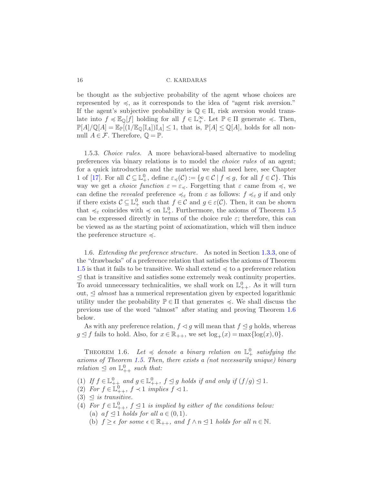be thought as the subjective probability of the agent whose choices are represented by  $\leq$ , as it corresponds to the idea of "agent risk aversion." If the agent's subjective probability is  $\mathbb{Q} \in \Pi$ , risk aversion would translate into  $f \preccurlyeq \mathbb{E}_{\mathbb{Q}}[f]$  holding for all  $f \in \mathbb{L}_+^{\infty}$ . Let  $\mathbb{P} \in \Pi$  generate  $\preccurlyeq$ . Then,  $\mathbb{P}[A]/\mathbb{Q}[A] = \mathbb{E}_{\mathbb{P}}[(1/\mathbb{E}_{\mathbb{Q}}[\mathbb{I}_A])\mathbb{I}_A] \leq 1$ , that is,  $\mathbb{P}[A] \leq \mathbb{Q}[A]$ , holds for all nonnull  $A \in \mathcal{F}$ . Therefore,  $\mathbb{Q} = \mathbb{P}$ .

1.5.3. *Choice rules.* A more behavioral-based alternative to modeling preferences via binary relations is to model the *choice rules* of an agent; for a quick introduction and the material we shall need here, see Chapter 1 of [\[17\]](#page-34-9). For all  $C \subseteq \mathbb{L}^0_+$ , define  $\varepsilon_\preccurlyeq(C) := \{ g \in C \mid f \preccurlyeq g$ , for all  $f \in C \}$ . This way we get a *choice function*  $\varepsilon = \varepsilon_{\preccurlyeq}$ . Forgetting that  $\varepsilon$  came from  $\preccurlyeq$ , we can define the *revealed* preference  $\preccurlyeq_{\varepsilon}$  from  $\varepsilon$  as follows:  $f \preccurlyeq_{\varepsilon} g$  if and only if there exists  $\mathcal{C} \subseteq \mathbb{L}^0_+$  such that  $f \in \mathcal{C}$  and  $g \in \varepsilon(\mathcal{C})$ . Then, it can be shown that  $\preccurlyeq_{\varepsilon}$  coincides with  $\preccurlyeq$  on  $\mathbb{L}^0_+$ . Furthermore, the axioms of Theorem [1.5](#page-14-0) can be expressed directly in terms of the choice rule  $\varepsilon$ ; therefore, this can be viewed as as the starting point of axiomatization, which will then induce the preference structure  $\preccurlyeq$ .

1.6. *Extending the preference structure.* As noted in Section [1.3.3,](#page-9-0) one of the "drawbacks" of a preference relation that satisfies the axioms of Theorem [1.5](#page-14-0) is that it fails to be transitive. We shall extend  $\preccurlyeq$  to a preference relation  $\leq$  that is transitive and satisfies some extremely weak continuity properties. To avoid unnecessary technicalities, we shall work on  $\mathbb{L}^0_{++}$ . As it will turn out,  $\leq$  *almost* has a numerical representation given by expected logarithmic utility under the probability  $\mathbb{P} \in \Pi$  that generates  $\preccurlyeq$ . We shall discuss the previous use of the word "almost" after stating and proving Theorem [1.6](#page-16-0) below.

<span id="page-16-0"></span>As with any preference relation,  $f \triangleleft g$  will mean that  $f \triangleleft g$  holds, whereas  $g \leq f$  fails to hold. Also, for  $x \in \mathbb{R}_{++}$ , we set  $\log_+(x) = \max{\log(x), 0}$ .

THEOREM 1.6. Let  $\leq$  denote a binary relation on  $\mathbb{L}^0_+$  satisfying the *axioms of Theorem [1.5.](#page-14-0) Then, there exists a (not necessarily unique) binary relation*  $\leq$  *on*  $\mathbb{L}^0_{++}$  *such that:* 

- (1) If  $f \in \mathbb{L}_{++}^0$  and  $g \in \mathbb{L}_{++}^0$ ,  $f \leq g$  holds if and only if  $(f/g) \leq 1$ .
- (2) For  $f \in \mathbb{L}^0_{++}$ ,  $f \prec 1$  *implies*  $f \lhd 1$ .
- $(3) \triangleleft$  *is transitive.*
- (4) For  $f \in \mathbb{L}^0_{++}$ ,  $f \leq 1$  *is implied by either of the conditions below:* (a)  $af \leq 1$  *holds for all*  $a \in (0,1)$ *.* 
	- (b)  $f \geq \epsilon$  *for some*  $\epsilon \in \mathbb{R}_{++}$ *, and*  $f \wedge n \leq 1$  *holds for all*  $n \in \mathbb{N}$ *.*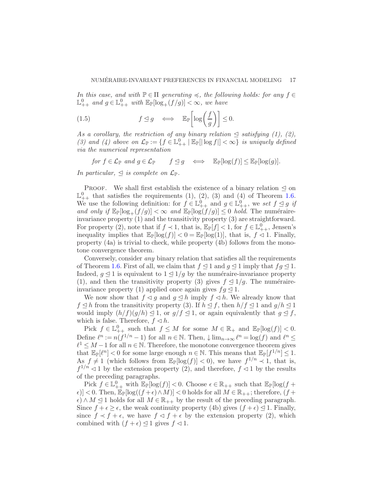*In this case, and with*  $\mathbb{P} \in \Pi$  *generating*  $\preccurlyeq$ , the following holds: for any  $f \in \Pi$  $\mathbb{L}^0_{++}$  and  $g \in \mathbb{L}^0_{++}$  with  $\mathbb{E}_{\mathbb{P}}[\log_+(f/g)] < \infty$ , we have

<span id="page-17-0"></span>(1.5) 
$$
f \leq g \iff \mathbb{E}_{\mathbb{P}}\left[\log\left(\frac{f}{g}\right)\right] \leq 0.
$$

As a corollary, the restriction of any binary relation  $\leq$  *satisfying (1), (2)*, (3) and (4) above on  $\mathcal{L}_{\mathbb{P}} := \{f \in \mathbb{L}^0_{++} \mid \mathbb{E}_{\mathbb{P}}[|\log f|] < \infty\}$  is uniquely defined *via the numerical representation*

*for*  $f \in \mathcal{L}_{\mathbb{P}}$  *and*  $g \in \mathcal{L}_{\mathbb{P}}$   $f \leq g \iff \mathbb{E}_{\mathbb{P}}[\log(f)] \leq \mathbb{E}_{\mathbb{P}}[\log(g)].$ 

*In particular,*  $\triangleleft$  *is complete on*  $\mathcal{L}_{\mathbb{P}}$ *.* 

PROOF. We shall first establish the existence of a binary relation  $\leq$  on  $\mathbb{L}_{++}^0$  that satisfies the requirements (1), (2), (3) and (4) of Theorem [1.6.](#page-16-0) We use the following definition: for  $f \in \mathbb{L}^0_{++}$  and  $g \in \mathbb{L}^0_{++}$ , we set  $f \leq g$  if *and only if*  $\mathbb{E}_{\mathbb{P}}[\log_+(f/g)] < \infty$  *and*  $\mathbb{E}_{\mathbb{P}}[\log(f/g)] \leq 0$  *hold*. The numéraireinvariance property (1) and the transitivity property (3) are straightforward. For property (2), note that if  $f \prec 1$ , that is,  $\mathbb{E}_{\mathbb{P}}[f] < 1$ , for  $f \in \mathbb{L}_{++}^0$ , Jensen's inequality implies that  $\mathbb{E}_{\mathbb{P}}[\log(f)] < 0 = \mathbb{E}_{\mathbb{P}}[\log(1)]$ , that is,  $f \leq 1$ . Finally, property (4a) is trivial to check, while property (4b) follows from the monotone convergence theorem.

Conversely, consider *any* binary relation that satisfies all the requirements of Theorem [1.6.](#page-16-0) First of all, we claim that  $f \triangleleft 1$  and  $q \triangleleft 1$  imply that  $fq \triangleleft 1$ . Indeed,  $q \leq 1$  is equivalent to  $1 \leq 1/q$  by the numéraire-invariance property (1), and then the transitivity property (3) gives  $f \leq 1/g$ . The numéraireinvariance property (1) applied once again gives  $f \circ \mathcal{A}$  1.

We now show that  $f \lhd g$  and  $g \lhd h$  imply  $f \lhd h$ . We already know that  $f \leq h$  from the transitivity property (3). If  $h \leq f$ , then  $h/f \leq 1$  and  $g/h \leq 1$ would imply  $(h/f)(g/h) \leq 1$ , or  $g/f \leq 1$ , or again equivalently that  $g \leq f$ , which is false. Therefore,  $f \triangleleft h$ .

Pick  $f \in \mathbb{L}^0_{++}$  such that  $f \leq M$  for some  $M \in \mathbb{R}_+$  and  $\mathbb{E}_{\mathbb{P}}[\log(f)] < 0$ . Define  $\ell^n := n(f^{1/n} - 1)$  for all  $n \in \mathbb{N}$ . Then,  $\downarrow \lim_{n \to \infty} \ell^n = \log(f)$  and  $\ell^n \leq$  $\ell^1 \leq M-1$  for all  $n \in \mathbb{N}$ . Therefore, the monotone convergence theorem gives that  $\mathbb{E}_{\mathbb{P}}[\ell^n] < 0$  for some large enough  $n \in \mathbb{N}$ . This means that  $\mathbb{E}_{\mathbb{P}}[f^{1/n}] \leq 1$ . As  $f \neq 1$  (which follows from  $\mathbb{E}_{\mathbb{P}}[\log(f)] < 0$ ), we have  $f^{1/n} \prec 1$ , that is,  $f^{1/n} \triangleleft 1$  by the extension property (2), and therefore,  $f \triangleleft 1$  by the results of the preceding paragraphs.

Pick  $f \in \mathbb{L}^0_{++}$  with  $\mathbb{E}_{\mathbb{P}}[\log(f)] < 0$ . Choose  $\epsilon \in \mathbb{R}_{++}$  such that  $\mathbb{E}_{\mathbb{P}}[\log(f +$  $\epsilon$ )] < 0. Then,  $\mathbb{E}_{\mathbb{P}}[\log((f+\epsilon) \wedge M)]$  < 0 holds for all  $M \in \mathbb{R}_{++}$ ; therefore, (f +  $\epsilon) \wedge M \leq 1$  holds for all  $M \in \mathbb{R}_{++}$  by the result of the preceding paragraph. Since  $f + \epsilon \geq \epsilon$ , the weak continuity property (4b) gives  $(f + \epsilon) \leq 1$ . Finally, since  $f \prec f + \epsilon$ , we have  $f \prec f + \epsilon$  by the extension property (2), which combined with  $(f + \epsilon) \leq 1$  gives  $f \leq 1$ .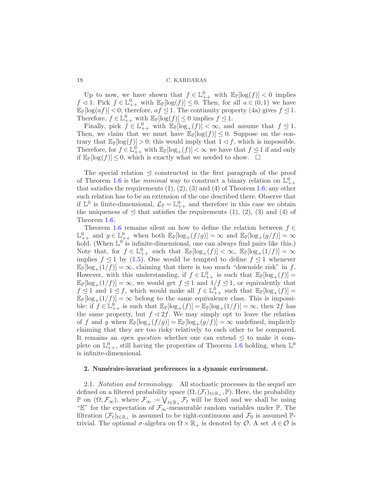Up to now, we have shown that  $f \in \mathbb{L}^0_{++}$  with  $\mathbb{E}_{\mathbb{P}}[\log(f)] < 0$  implies  $f \leq 1$ . Pick  $f \in \mathbb{L}^0_{++}$  with  $\mathbb{E}_{\mathbb{P}}[\log(f)] \leq 0$ . Then, for all  $a \in (0,1)$  we have  $\mathbb{E}_{\mathbb{P}}[\log(af)] < 0$ ; therefore,  $af \leq 1$ . The continuity property (4a) gives  $f \leq 1$ . Therefore,  $f \in \mathbb{L}^0_{++}$  with  $\mathbb{E}_{\mathbb{P}}[\log(f)] \leq 0$  implies  $f \leq 1$ .

Finally, pick  $f \in \mathbb{L}^0_{++}$  with  $\mathbb{E}_{\mathbb{P}}[\log_+(f)] < \infty$ , and assume that  $f \leq 1$ . Then, we claim that we must have  $\mathbb{E}_{\mathbb{P}}[\log(f)] \leq 0$ . Suppose on the contrary that  $\mathbb{E}_{\mathbb{P}}[\log(f)] > 0$ ; this would imply that  $1 \leq f$ , which is impossible. Therefore, for  $f \in \mathbb{L}^0_{++}$  with  $\mathbb{E}_{\mathbb{P}}[\log_+(f)] < \infty$  we have that  $f \leq 1$  if and only if  $\mathbb{E}_{\mathbb{P}}[\log(f)] \leq 0$ , which is exactly what we needed to show.  $\Box$ 

The special relation  $\leq$  constructed in the first paragraph of the proof of Theorem [1.6](#page-16-0) is the *minimal* way to construct a binary relation on  $\mathbb{L}^0_{++}$ that satisfies the requirements  $(1), (2), (3)$  and  $(4)$  of Theorem [1.6;](#page-16-0) any other such relation has to be an extension of the one described there. Observe that if  $\mathbb{L}^0$  is finite-dimensional,  $\mathcal{L}_{\mathbb{P}} = \mathbb{L}^0_{++}$  and therefore in this case we obtain the uniqueness of  $\leq$  that satisfies the requirements (1), (2), (3) and (4) of Theorem [1.6.](#page-16-0)

Theorem [1.6](#page-16-0) remains silent on how to define the relation between  $f \in$  $\mathbb{L}^0_{++}$  and  $g \in \mathbb{L}^0_{++}$  when both  $\mathbb{E}_{\mathbb{P}}[\log_+(f/g)] = \infty$  and  $\mathbb{E}_{\mathbb{P}}[\log_+(g/f)] = \infty$ hold. (When  $\mathbb{L}^0$  is infinite-dimensional, one can always find pairs like this.) Note that, for  $f \in \mathbb{L}^0_{++}$  such that  $\mathbb{E}_{\mathbb{P}}[\log_+(f)] < \infty$ ,  $\mathbb{E}_{\mathbb{P}}[\log_+(1/f)] = \infty$ implies  $f \leq 1$  by [\(1.5\)](#page-17-0). One would be tempted to define  $f \leq 1$  whenever  $\mathbb{E}_{\mathbb{P}}[\log_+(1/f)] = \infty$ , claiming that there is too much "downside risk" in f. However, with this understanding, if  $f \in \mathbb{L}^0_{++}$  is such that  $\mathbb{E}_{\mathbb{P}}[\log_+(f)] =$  $\mathbb{E}_{\mathbb{P}}[\log_+(1/f)] = \infty$ , we would get  $f \leq 1$  and  $1/f \leq 1$ , or equivalently that  $f \leq 1$  and  $1 \leq f$ , which would make all  $f \in \mathbb{L}^0_{++}$  such that  $\mathbb{E}_{\mathbb{P}}[\log_+(f)] =$  $\mathbb{E}_{\mathbb{P}}[\log_+(1/f)] = \infty$  belong to the same equivalence class. This is impossible: if  $f \in \mathbb{L}_{++}^0$  is such that  $\mathbb{E}_{\mathbb{P}}[\log_+(f)] = \mathbb{E}_{\mathbb{P}}[\log_+(1/f)] = \infty$ , then 2f has the same property, but  $f \lhd 2f$ . We may simply opt to leave the relation of f and g when  $\mathbb{E}_{\mathbb{P}}[\log_+(f/g)] = \mathbb{E}_{\mathbb{P}}[\log_+(g/f)] = \infty$  undefined, implicitly claiming that they are too risky relatively to each other to be compared. It remains an *open question* whether one can extend  $\leq$  to make it complete on  $\mathbb{L}^0_{++}$ , still having the properties of Theorem [1.6](#page-16-0) holding, when  $\mathbb{L}^0$ is infinite-dimensional.

#### <span id="page-18-0"></span>2. Numéraire-invariant preferences in a dynamic environment.

2.1. *Notation and terminology.* All stochastic processes in the sequel are defined on a filtered probability space  $(\Omega, (\mathcal{F}_t)_{t \in \mathbb{R}_+}, \mathbb{P})$ . Here, the probability  $\mathbb P$  on  $(\Omega, \mathcal F_{\infty})$ , where  $\mathcal F_{\infty} := \bigvee_{t \in \mathbb{R}_+} \mathcal F_t$  will be fixed and we shall be using "E" for the expectation of  $\mathcal{F}_{\infty}$ -measurable random variables under P. The filtration  $(\mathcal{F}_t)_{t\in\mathbb{R}_+}$  is assumed to be right-continuous and  $\mathcal{F}_0$  is assumed  $\mathbb{P}$ trivial. The optional  $\sigma$ -algebra on  $\Omega \times \mathbb{R}_+$  is denoted by  $\mathcal{O}$ . A set  $A \in \mathcal{O}$  is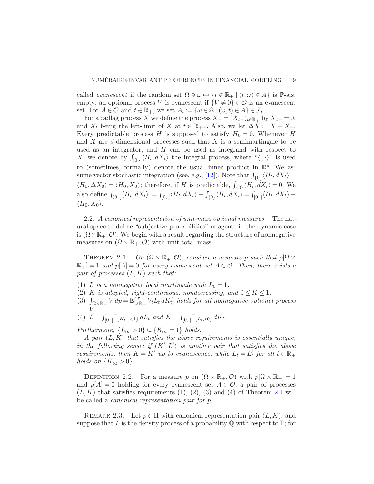called *evanescent* if the random set  $\Omega \ni \omega \mapsto \{t \in \mathbb{R}_+ \mid (t, \omega) \in A\}$  is  $\mathbb{P}\text{-a.s.}$ empty; an optional process V is evanescent if  ${V \neq 0} \in \mathcal{O}$  is an evanescent set. For  $A \in \mathcal{O}$  and  $t \in \mathbb{R}_+$ , we set  $A_t := \{ \omega \in \Omega \mid (\omega, t) \in A \} \in \mathcal{F}_t$ .

For a càdlàg process X we define the process  $X_ - = (X_{t-})_{t \in \mathbb{R}_+}$  by  $X_{0-} = 0$ , and  $X_t$  being the left-limit of X at  $t \in \mathbb{R}_{++}$ . Also, we let  $\Delta X := X - X_-\$ . Every predictable process H is supposed to satisfy  $H_0 = 0$ . Whenever H and X are d-dimensional processes such that X is a semimartingale to be used as an integrator, and  $H$  can be used as integrand with respect to X, we denote by  $\int_{[0,1]} \langle H_t, dX_t \rangle$  the integral process, where " $\langle \cdot, \cdot \rangle$ " is used to (sometimes, formally) denote the usual inner product in  $\mathbb{R}^d$ . We as-sume vector stochastic integration (see, e.g., [\[12\]](#page-33-8)). Note that  $\int_{\{0\}} \langle H_t, dX_t \rangle =$  $\langle H_0, \Delta X_0 \rangle = \langle H_0, X_0 \rangle$ ; therefore, if H is predictable,  $\int_{\{0\}} \langle H_t, dX_t \rangle = 0$ . We also define  $\int_{(0,1]} \langle H_t, dX_t \rangle := \int_{[0,1]} \langle H_t, dX_t \rangle - \int_{\{0\}} \langle H_t, dX_t \rangle = \int_{[0,1]} \langle H_t, dX_t \rangle \langle H_0, X_0 \rangle$ .

2.2. *A canonical representation of unit-mass optional measures.* The natural space to define "subjective probabilities" of agents in the dynamic case is  $(\Omega \times \mathbb{R}_+, \mathcal{O})$ . We begin with a result regarding the structure of nonnegative measures on  $(\Omega \times \mathbb{R}_+, \mathcal{O})$  with unit total mass.

<span id="page-19-0"></span>THEOREM 2.1. *On*  $(\Omega \times \mathbb{R}_+, \mathcal{O})$ *, consider a measure p such that*  $p[\Omega \times$  $\mathbb{R}_+|=1$  *and*  $p[A]=0$  *for every evanescent set*  $A \in \mathcal{O}$ *. Then, there exists a pair of processes* (L,K) *such that:*

- (1) L *is a nonnegative local martingale with*  $L_0 = 1$ .
- (2) K *is adapted, right-continuous, nondecreasing, and*  $0 \le K \le 1$ *.*
- (3)  $\int_{\Omega\times\mathbb{R}_+} V dp = \mathbb{E}[\int_{\mathbb{R}_+} V_t L_t dK_t]$  holds for all nonnegative optional process V *.*
- (4)  $L = \int_{[0, \cdot]} \mathbb{I}_{\{K_t = \cdot 1\}} dL_t$  and  $K = \int_{[0, \cdot]} \mathbb{I}_{\{L_t > 0\}} dK_t$ .

*Furthermore,*  $\{L_{\infty} > 0\} \subseteq \{K_{\infty} = 1\}$  *holds.* 

*A pair* (L,K) *that satisfies the above requirements is essentially unique, in the following sense: if*  $(K', L')$  *is another pair that satisfies the above requirements, then*  $K = K'$  *up to evanescence, while*  $L_t = L'_t$  *for all*  $t \in \mathbb{R}_+$ *holds on*  $\{K_{\infty} > 0\}.$ 

DEFINITION 2.2. For a measure p on  $(\Omega \times \mathbb{R}_+, \mathcal{O})$  with  $p[\Omega \times \mathbb{R}_+] = 1$ and  $p[A] = 0$  holding for every evanescent set  $A \in \mathcal{O}$ , a pair of processes  $(L,K)$  that satisfies requirements  $(1), (2), (3)$  and  $(4)$  of Theorem [2.1](#page-19-0) will be called a *canonical representation pair for* p.

<span id="page-19-1"></span>REMARK 2.3. Let  $p \in \Pi$  with canonical representation pair  $(L, K)$ , and suppose that L is the density process of a probability  $\mathbb Q$  with respect to  $\mathbb P$ ; for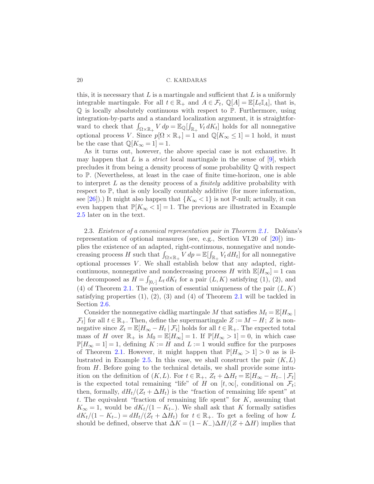this, it is necessary that L is a martingale and sufficient that L is a uniformly integrable martingale. For all  $t \in \mathbb{R}_+$  and  $A \in \mathcal{F}_t$ ,  $\mathbb{Q}[A] = \mathbb{E}[L_t \mathbb{I}_A]$ , that is, Q is locally absolutely continuous with respect to P. Furthermore, using integration-by-parts and a standard localization argument, it is straightforward to check that  $\int_{\Omega\times\mathbb{R}_+} V dp = \mathbb{E}_{\mathbb{Q}}[\int_{\mathbb{R}_+} V_t dK_t]$  holds for all nonnegative optional process V. Since  $p[\Omega \times \mathbb{R}_+] = 1$  and  $\mathbb{Q}[K_{\infty} \leq 1] = 1$  hold, it must be the case that  $\mathbb{Q}[K_{\infty} = 1] = 1$ .

As it turns out, however, the above special case is not exhaustive. It may happen that  $L$  is a *strict* local martingale in the sense of  $[9]$ , which precludes it from being a density process of some probability Q with respect to P. (Nevertheless, at least in the case of finite time-horizon, one is able to interpret L as the density process of a *finitely* additive probability with respect to P, that is only locally countably additive (for more information, see [\[26\]](#page-34-10)).) It might also happen that  ${K_{\infty} < 1}$  is not P-null; actually, it can even happen that  $\mathbb{P}[K_{\infty} < 1] = 1$ . The previous are illustrated in Example [2.5](#page-24-0) later on in the text.

<span id="page-20-0"></span>2.3. *Existence of a canonical representation pair in Theorem [2.1.](#page-19-0)* Doléans's representation of optional measures (see, e.g., Section VI.20 of [\[20](#page-34-11)]) implies the existence of an adapted, right-continuous, nonnegative and nondecreasing process H such that  $\int_{\Omega\times\mathbb{R}_+} V d\rho = \mathbb{E}[\int_{\mathbb{R}_+} V_t dH_t]$  for all nonnegative optional processes  $V$ . We shall establish below that any adapted, rightcontinuous, nonnegative and nondecreasing process H with  $\mathbb{E}[H_{\infty}] = 1$  can be decomposed as  $H = \int_{[0, \cdot]} L_t dK_t$  for a pair  $(L, K)$  satisfying  $(1), (2)$ , and (4) of Theorem [2.1.](#page-19-0) The question of essential uniqueness of the pair  $(L, K)$ satisfying properties  $(1), (2), (3)$  and  $(4)$  of Theorem [2.1](#page-19-0) will be tackled in Section [2.6.](#page-30-0)

Consider the nonnegative càdlàg martingale M that satisfies  $M_t = \mathbb{E}[H_{\infty}]$  $\mathcal{F}_t$  for all  $t \in \mathbb{R}_+$ . Then, define the supermartingale  $Z := M - H$ ; Z is nonnegative since  $Z_t = \mathbb{E}[H_{\infty} - H_t | \mathcal{F}_t]$  holds for all  $t \in \mathbb{R}_+$ . The expected total mass of H over  $\mathbb{R}_+$  is  $M_0 = \mathbb{E}[H_\infty] = 1$ . If  $\mathbb{P}[H_\infty > 1] = 0$ , in which case  $\mathbb{P}[H_{\infty} = 1] = 1$ , defining  $K := H$  and  $L := 1$  would suffice for the purposes of Theorem [2.1.](#page-19-0) However, it might happen that  $\mathbb{P}[H_{\infty} > 1] > 0$  as is il-lustrated in Example [2.5.](#page-24-0) In this case, we shall construct the pair  $(K, L)$ from H. Before going to the technical details, we shall provide some intuition on the definition of  $(K, L)$ . For  $t \in \mathbb{R}_+$ ,  $Z_t + \Delta H_t = \mathbb{E}[H_{\infty} - H_{t-} | \mathcal{F}_t]$ is the expected total remaining "life" of H on  $[t, \infty],$  conditional on  $\mathcal{F}_t$ ; then, formally,  $dH_t/(Z_t + \Delta H_t)$  is the "fraction of remaining life spent" at t. The equivalent "fraction of remaining life spent" for  $K$ , assuming that  $K_{\infty} = 1$ , would be  $dK_t/(1 - K_{t-})$ . We shall ask that K formally satisfies  $dK_t/(1 - K_{t-}) = dH_t/(Z_t + \Delta H_t)$  for  $t \in \mathbb{R}_+$ . To get a feeling of how L should be defined, observe that  $\Delta K = (1 - K_-)\Delta H/(Z + \Delta H)$  implies that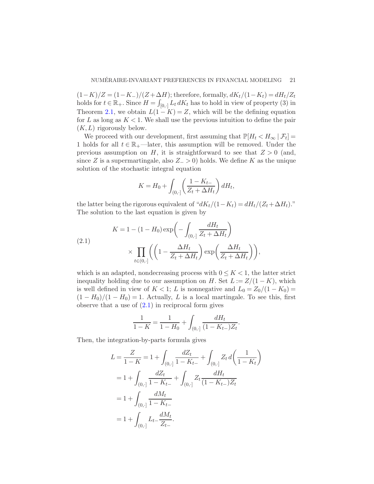$(1-K)/Z = (1-K_-)/(Z+\Delta H)$ ; therefore, formally,  $dK_t/(1-K_t) = dH_t/Z_t$ holds for  $t \in \mathbb{R}_+$ . Since  $H = \int_{[0,1]} L_t dK_t$  has to hold in view of property (3) in Theorem [2.1,](#page-19-0) we obtain  $L(1 - K) = Z$ , which will be the defining equation for L as long as  $K < 1$ . We shall use the previous intuition to define the pair  $(K, L)$  rigorously below.

We proceed with our development, first assuming that  $\mathbb{P}[H_t < H_\infty | \mathcal{F}_t] =$ 1 holds for all  $t \in \mathbb{R}_+$ —later, this assumption will be removed. Under the previous assumption on H, it is straightforward to see that  $Z > 0$  (and, since Z is a supermartingale, also  $Z > 0$ ) holds. We define K as the unique solution of the stochastic integral equation

$$
K = H_0 + \int_{(0,\cdot]} \left( \frac{1 - K_{t-}}{Z_t + \Delta H_t} \right) dH_t,
$$

the latter being the rigorous equivalent of " $dK_t/(1-K_t) = dH_t/(Z_t+\Delta H_t)$ ." The solution to the last equation is given by

<span id="page-21-0"></span>(2.1)  

$$
K = 1 - (1 - H_0) \exp\left(-\int_{(0, \cdot]} \frac{dH_t}{Z_t + \Delta H_t}\right)
$$

$$
\times \prod_{t \in (0, \cdot]} \left(\left(1 - \frac{\Delta H_t}{Z_t + \Delta H_t}\right) \exp\left(\frac{\Delta H_t}{Z_t + \Delta H_t}\right)\right),
$$

which is an adapted, nondecreasing process with  $0 \leq K < 1$ , the latter strict inequality holding due to our assumption on H. Set  $L := Z/(1 - K)$ , which is well defined in view of  $K < 1$ ; L is nonnegative and  $L_0 = Z_0/(1 - K_0)$  $(1 - H_0)/(1 - H_0) = 1$ . Actually, L is a local martingale. To see this, first observe that a use of  $(2.1)$  in reciprocal form gives

$$
\frac{1}{1-K} = \frac{1}{1-H_0} + \int_{(0,\cdot]} \frac{dH_t}{(1-K_{t-})Z_t}.
$$

Then, the integration-by-parts formula gives

$$
L = \frac{Z}{1 - K} = 1 + \int_{(0, \cdot]} \frac{dZ_t}{1 - K_{t-}} + \int_{(0, \cdot]} Z_t d\left(\frac{1}{1 - K_t}\right)
$$
  
=  $1 + \int_{(0, \cdot]} \frac{dZ_t}{1 - K_{t-}} + \int_{(0, \cdot]} Z_t \frac{dH_t}{(1 - K_{t-})Z_t}$   
=  $1 + \int_{(0, \cdot]} \frac{dM_t}{1 - K_{t-}}$   
=  $1 + \int_{(0, \cdot]} L_{t-} \frac{dM_t}{Z_{t-}}.$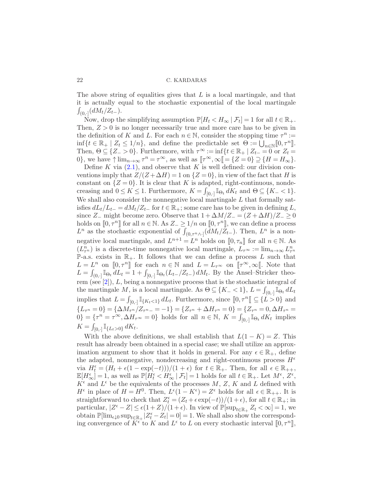The above string of equalities gives that  $L$  is a local martingale, and that it is actually equal to the stochastic exponential of the local martingale  $\int_{(0,\cdot]}(dM_t/Z_{t-}).$ 

Now, drop the simplifying assumption  $\mathbb{P}[H_t < H_\infty | \mathcal{F}_t] = 1$  for all  $t \in \mathbb{R}_+$ . Then,  $Z > 0$  is no longer necessarily true and more care has to be given in the definition of K and L. For each  $n \in \mathbb{N}$ , consider the stopping time  $\tau^n :=$  $\inf\{t \in \mathbb{R}_+ \mid Z_t \leq 1/n\}$ , and define the predictable set  $\Theta := \bigcup_{n \in \mathbb{N}} [0, \tau^n]$ . Then,  $\Theta \subseteq \{Z_>0\}$ . Furthermore, with  $\tau^{\infty} := \inf\{t \in \mathbb{R}_+ \mid Z_{t-} = 0 \text{ or } Z_t = 0\}$ 0}, we have  $\uparrow \lim_{n \to \infty} \tau^n = \tau^{\infty}$ , as well as  $[\![ \tau^{\infty}, \infty ]\!] = \{Z = 0\} \supseteq \{H = H_{\infty}\}.$ 

Define K via  $(2.1)$ , and observe that K is well defined: our division conventions imply that  $Z/(Z+\Delta H)=1$  on  $\{Z=0\}$ , in view of the fact that H is constant on  $\{Z=0\}$ . It is clear that K is adapted, right-continuous, nondecreasing and  $0 \le K \le 1$ . Furthermore,  $K = \int_{[0,1]} \mathbb{I}_{\Theta_t} dK_t$  and  $\Theta \subseteq \{K_- < 1\}$ . We shall also consider the nonnegative local martingale  $L$  that formally satisfies  $dL_t/L_{t-} = dM_t/Z_{t-}$  for  $t \in \mathbb{R}_+$ ; some care has to be given in defining L, since Z<sub>−</sub> might become zero. Observe that  $1 + \Delta M/Z = (Z + \Delta H)/Z = 0$ holds on  $[0, \tau^n]$  for all  $n \in \mathbb{N}$ . As  $Z_{-} \geq 1/n$  on  $[0, \tau^n]$ , we can define a process  $L^n$  as the stochastic exponential of  $\int_{(0,\tau^n\wedge\cdot]}(dM_t/\bar{Z}_{t-})$ . Then,  $L^n$  is a nonnegative local martingale, and  $L^{n+1} = L^n$  holds on  $[0, \tau_n]$  for all  $n \in \mathbb{N}$ . As  $(L_{\tau^n}^n)$  is a discrete-time nonnegative local martingale,  $L_{\tau^{\infty}} := \lim_{n \to \infty} L_{\tau^n}^n$ P-a.s. exists in  $\mathbb{R}_+$ . It follows that we can define a process L such that  $L = L^n$  on  $[0, \tau^n]$  for each  $n \in \mathbb{N}$  and  $L = L_{\tau^{\infty}}$  on  $[\![\tau^{\infty}, \infty]\!]$ . Note that  $L = \int_{(0, \cdot]} \mathbb{I}_{\Theta_t} dL_t = 1 + \int_{[0, \cdot]} \mathbb{I}_{\Theta_t}(L_{t-}/Z_{t-}) dM_t$ . By the Ansel–Stricker theorem (see [\[2](#page-33-10)]), L, being a nonnegative process that is the stochastic integral of the martingale M, is a local martingale. As  $\Theta \subseteq \{K_{-} < 1\}$ ,  $L = \int_{(0, .]}\tilde{\mathbb{I}}_{\Theta_t} dL_t$ implies that  $L = \int_{[0,1]} \mathbb{I}_{\{K_t < 1\}} dL_t$ . Furthermore, since  $[0, \tau^n] \subseteq \{L > 0\}$  and  $\{L_{\tau^{n}}=0\}=\{\Delta M_{\tau^{n}}/Z_{\tau^{n}-}=-1\}=\{Z_{\tau^{n}}+\Delta H_{\tau^{n}}=0\}=\{Z_{\tau^{n}}=0,\Delta H_{\tau^{n}}=0\}$  $[0] = {\tau^n = \tau^{\infty}, \Delta H_{\tau^{\infty}} = 0}$  holds for all  $n \in \mathbb{N}, K = \int_{[0, \cdot]} \mathbb{I}_{\Theta_t} dK_t$  implies  $K = \int_{[0,\cdot]} \mathbb{I}_{\{L_t > 0\}} dK_t.$ 

With the above definitions, we shall establish that  $L(1 - K) = Z$ . This result has already been obtained in a special case; we shall utilize an approximation argument to show that it holds in general. For any  $\epsilon \in \mathbb{R}_+$ , define the adapted, nonnegative, nondecreasing and right-continuous process  $H^{\epsilon}$ via  $H_t^{\epsilon} = (H_t + \epsilon(1 - \exp(-t)))/(1 + \epsilon)$  for  $t \in \mathbb{R}_+$ . Then, for all  $\epsilon \in \mathbb{R}_{++}$ ,  $\mathbb{E}[H_{\infty}^{\epsilon}] = 1$ , as well as  $\mathbb{P}[H_t^{\epsilon} < H_{\infty}^{\epsilon} \mid \mathcal{F}_t] = 1$  holds for all  $t \in \mathbb{R}_+$ . Let  $M^{\epsilon}$ ,  $Z^{\epsilon}$ ,  $K^{\epsilon}$  and  $L^{\epsilon}$  be the equivalents of the processes  $M, Z, K$  and L defined with  $H^{\epsilon}$  in place of  $H = H^{0}$ . Then,  $L^{\epsilon}(1 - K^{\epsilon}) = Z^{\epsilon}$  holds for all  $\epsilon \in \mathbb{R}_{++}$ . It is straightforward to check that  $Z_t^{\epsilon} = (Z_t + \epsilon \exp(-t))/(1 + \epsilon)$ , for all  $t \in \mathbb{R}_+$ ; in particular,  $|Z^{\epsilon} - Z| \leq \epsilon (1+Z)/(1+\epsilon)$ . In view of  $\mathbb{P}[\sup_{t \in \mathbb{R}_+} Z_t < \infty] = 1$ , we obtain  $\mathbb{P}[\lim_{\epsilon \downarrow 0} \sup_{t \in \mathbb{R}_+} |Z_t^{\epsilon} - Z_t| = 0] = 1$ . We shall also show the corresponding convergence of  $K^{\epsilon}$  to K and  $L^{\epsilon}$  to L on every stochastic interval  $[0, \tau^{n}],$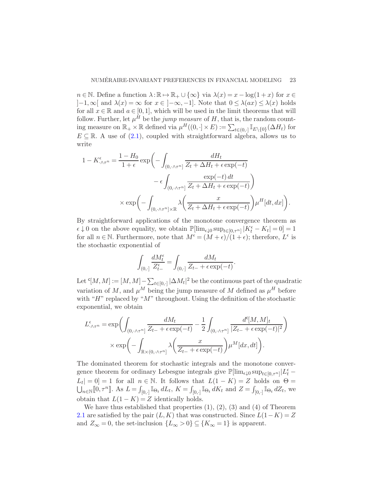$n \in \mathbb{N}$ . Define a function  $\lambda : \mathbb{R} \to \mathbb{R}_+ \cup {\infty}$  via  $\lambda(x) = x - \log(1+x)$  for  $x \in$  $]-1,\infty[$  and  $\lambda(x) = \infty$  for  $x \in [-\infty,-1]$ . Note that  $0 \leq \lambda(ax) \leq \lambda(x)$  holds for all  $x \in \mathbb{R}$  and  $a \in [0,1]$ , which will be used in the limit theorems that will follow. Further, let  $\mu^H$  be the *jump measure* of H, that is, the random counting measure on  $\mathbb{R}_+ \times \mathbb{R}$  defined via  $\mu^H((0, \cdot] \times E) := \sum_{t \in (0, \cdot]} \mathbb{I}_{E \setminus \{0\}}(\Delta H_t)$  for  $E \subseteq \mathbb{R}$ . A use of [\(2.1\)](#page-21-0), coupled with straightforward algebra, allows us to write

$$
1 - K_{\cdot \wedge \tau^n}^{\epsilon} = \frac{1 - H_0}{1 + \epsilon} \exp\left(-\int_{(0, \cdot \wedge \tau^n]} \frac{dH_t}{Z_t + \Delta H_t + \epsilon \exp(-t)} - \epsilon \int_{(0, \cdot \wedge \tau^n]} \frac{\exp(-t) dt}{Z_t + \Delta H_t + \epsilon \exp(-t)}\right)
$$
  
\$\times \exp\left(-\int\_{(0, \cdot \wedge \tau^n] \times \mathbb{R}} \lambda \left(\frac{x}{Z\_t + \Delta H\_t + \epsilon \exp(-t)}\right) \mu^H[dt, dx]\right).

By straightforward applications of the monotone convergence theorem as  $\epsilon \downarrow 0$  on the above equality, we obtain  $\mathbb{P}[\lim_{\epsilon \downarrow 0} \sup_{t \in [0, \tau^n]} |K_t^{\epsilon} - K_t| = 0] = 1$ for all  $n \in \mathbb{N}$ . Furthermore, note that  $M^{\epsilon} = (M + \epsilon)/(1 + \epsilon)$ ; therefore,  $L^{\epsilon}$  is the stochastic exponential of

$$
\int_{(0,\cdot]} \frac{dM^\epsilon_t}{Z^\epsilon_{t-}} = \int_{(0,\cdot]} \frac{dM_t}{Z_{t-} + \epsilon \exp(-t)}.
$$

Let  $\mathcal{L}[M,M]:=[M,M]-\sum_{t\in[0,\cdot]}|\Delta M_t|^2$  be the continuous part of the quadratic variation of M, and  $\mu^M$  being the jump measure of M defined as  $\mu^H$  before with " $H$ " replaced by " $M$ " throughout. Using the definition of the stochastic exponential, we obtain

$$
L^{\epsilon}_{\cdot \wedge \tau^{n}} = \exp \left( \int_{(0, \cdot \wedge \tau^{n}] } \frac{dM_{t}}{Z_{t-} + \epsilon \exp(-t)} - \frac{1}{2} \int_{(0, \cdot \wedge \tau^{n}] } \frac{d^{c}[M, M]_{t}}{|Z_{t-} + \epsilon \exp(-t)|^{2}} \right) \times \exp \left( - \int_{\mathbb{R} \times (0, \cdot \wedge \tau^{n}] } \lambda \left( \frac{x}{Z_{t-} + \epsilon \exp(-t)} \right) \mu^{M}[dx, dt] \right).
$$

The dominated theorem for stochastic integrals and the monotone convergence theorem for ordinary Lebesgue integrals give  $\mathbb{P}[\lim_{\epsilon \downarrow 0} \sup_{t \in [0,\tau^n]} | L_t^{\epsilon} L_t$  = 0] = 1 for all  $n \in \mathbb{N}$ . It follows that  $L(1 - K) = Z$  holds on  $\Theta =$  $\bigcup_{n\in\mathbb{N}}[0,\tau^n]$ . As  $L=\int_{[0,\cdot]}I\Theta_t dL_t$ ,  $K=\int_{[0,\cdot]}I\Theta_t dK_t$  and  $Z=\int_{[0,\cdot]}I\Theta_t dZ_t$ , we obtain that  $L(1 - K) = Z$  identically holds.

<span id="page-23-0"></span>We have thus established that properties  $(1)$ ,  $(2)$ ,  $(3)$  and  $(4)$  of Theorem [2.1](#page-19-0) are satisfied by the pair  $(L, K)$  that was constructed. Since  $L(1 - K) = Z$ and  $Z_{\infty} = 0$ , the set-inclusion  $\{L_{\infty} > 0\} \subseteq \{K_{\infty} = 1\}$  is apparent.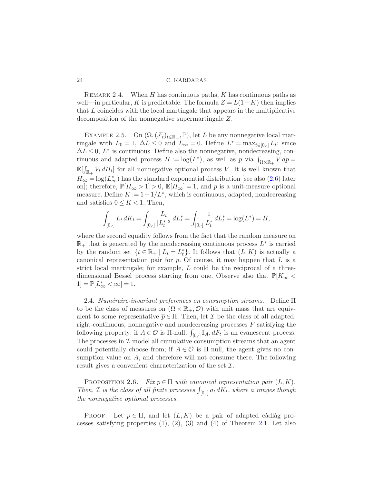REMARK 2.4. When H has continuous paths, K has continuous paths as well—in particular, K is predictable. The formula  $Z = L(1 - K)$  then implies that L coincides with the local martingale that appears in the multiplicative decomposition of the nonnegative supermartingale Z.

<span id="page-24-0"></span>EXAMPLE 2.5. On  $(\Omega, (\mathcal{F}_t)_{t \in \mathbb{R}_+}, \mathbb{P})$ , let L be any nonnegative local martingale with  $L_0 = 1$ ,  $\Delta L \leq 0$  and  $L_{\infty} = 0$ . Define  $L^* = \max_{t \in [0, \cdot]} L_t$ ; since  $\Delta L \leq 0, L^*$  is continuous. Define also the nonnegative, nondecreasing, continuous and adapted process  $H := \log(L^*)$ , as well as p via  $\int_{\Omega \times \mathbb{R}_+} V dp =$  $\mathbb{E}[\int_{\mathbb{R}_+} V_t dH_t]$  for all nonnegative optional process V. It is well known that  $H_{\infty} = \log(L_{\infty}^*)$  has the standard exponential distribution [see also  $(2.6)$  later on]; therefore,  $\mathbb{P}[H_{\infty} > 1] > 0$ ,  $\mathbb{E}[H_{\infty}] = 1$ , and p is a unit-measure optional measure. Define  $K := 1 - 1/L^*$ , which is continuous, adapted, nondecreasing and satisfies  $0 \leq K \leq 1$ . Then,

$$
\int_{[0,\cdot]} L_t dK_t = \int_{[0,\cdot]} \frac{L_t}{|L_t^*|^2} dL_t^* = \int_{[0,\cdot]} \frac{1}{L_t^*} dL_t^* = \log(L^*) = H,
$$

where the second equality follows from the fact that the random measure on  $\mathbb{R}_+$  that is generated by the nondecreasing continuous process  $L^*$  is carried by the random set  $\{t \in \mathbb{R}_+ \mid L_t = L_t^*\}$ . It follows that  $(L, K)$  is actually a canonical representation pair for  $p$ . Of course, it may happen that  $L$  is a strict local martingale; for example, L could be the reciprocal of a threedimensional Bessel process starting from one. Observe also that  $\mathbb{P}[K_{\infty}$  $1] = \mathbb{P}[L_{\infty}^* < \infty] = 1.$ 

2.4. *Num´eraire-invariant preferences on consumption streams.* Define Π to be the class of measures on  $(\Omega \times \mathbb{R}_+, \mathcal{O})$  with unit mass that are equivalent to some representative  $\bar{p} \in \Pi$ . Then, let  $\mathcal I$  be the class of all adapted, right-continuous, nonnegative and nondecreasing processes  $F$  satisfying the following property: if  $A \in \mathcal{O}$  is  $\Pi$ -null,  $\int_{[0, \cdot]} \mathbb{I}_{A_t} dF_t$  is an evanescent process. The processes in  $\mathcal I$  model all cumulative consumption streams that an agent could potentially choose from; if  $A \in \mathcal{O}$  is  $\Pi$ -null, the agent gives no consumption value on  $A$ , and therefore will not consume there. The following result gives a convenient characterization of the set  $\mathcal{I}$ .

PROPOSITION 2.6. *Fix*  $p \in \Pi$  *with canonical representation pair*  $(L, K)$ *.* Then, *I* is the class of all finite processes  $\int_{[0,1]} a_t d\vec{k_t}$ , where a ranges though *the nonnegative optional processes.*

PROOF. Let  $p \in \Pi$ , and let  $(L,K)$  be a pair of adapted càdlàg processes satisfying properties  $(1)$ ,  $(2)$ ,  $(3)$  and  $(4)$  of Theorem [2.1.](#page-19-0) Let also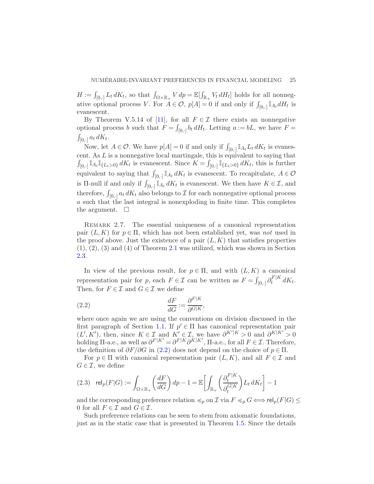$H := \int_{[0,\cdot]} L_t dK_t$ , so that  $\int_{\Omega \times \mathbb{R}_+} V d\mathbf{p} = \mathbb{E}[\int_{\mathbb{R}_+} V_t dH_t]$  holds for all nonnegative optional process V. For  $A \in \mathcal{O}$ ,  $p[A] = 0$  if and only if  $\int_{[0, .]} \mathbb{I}_{A_t} dH_t$  is evanescent.

By Theorem V.5.14 of [\[11](#page-33-11)], for all  $F \in \mathcal{I}$  there exists an nonnegative optional process b such that  $F = \int_{[0,1]} b_t dH_t$ . Letting  $a := bL$ , we have  $F =$  $\int_{[0,\cdot]} a_t dK_t.$ 

Now, let  $A \in \mathcal{O}$ . We have  $p[A] = 0$  if and only if  $\int_{[0, \cdot]} \mathbb{I}_{A_t} L_t dK_t$  is evanescent. As  $L$  is a nonnegative local martingale, this is equivalent to saying that  $\int_{[0,\cdot]} \mathbb{I}_{A_t} \mathbb{I}_{\{L_t>0\}} dK_t$  is evanescent. Since  $K = \int_{[0,\cdot]} \mathbb{I}_{\{L_t>0\}} dK_t$ , this is further equivalent to saying that  $\int_{[0, \cdot]} \mathbb{I}_{A_t} dK_t$  is evanescent. To recapitulate,  $A \in \mathcal{O}$ is II-null if and only if  $\int_{[0,1]} \mathbb{I}_{A_t} dK_t$  is evanescent. We then have  $K \in \mathcal{I}$ , and therefore,  $\int_{[0,1]} a_t dK_t$  also belongs to  $\mathcal I$  for each nonnegative optional process a such that the last integral is nonexploding in finite time. This completes the argument.  $\square$ 

<span id="page-25-1"></span>REMARK 2.7. The essential uniqueness of a canonical representation pair  $(L,K)$  for  $p \in \Pi$ , which has not been established yet, was *not* used in the proof above. Just the existence of a pair  $(L,K)$  that satisfies properties  $(1), (2), (3)$  and  $(4)$  of Theorem [2.1](#page-19-0) was utilized, which was shown in Section [2.3.](#page-20-0)

In view of the previous result, for  $p \in \Pi$ , and with  $(L,K)$  a canonical representation pair for p, each  $F \in \mathcal{I}$  can be written as  $F = \int_{[0, \cdot]} \partial_t^{F|K}$  $t^{\int t^{\alpha}} dK_t$ . Then, for  $F \in \mathcal{I}$  and  $G \in \mathcal{I}$  we define

<span id="page-25-0"></span>(2.2) 
$$
\frac{dF}{dG} := \frac{\partial^{F|K}}{\partial^{G|K}},
$$

where once again we are using the conventions on division discussed in the first paragraph of Section [1.1.](#page-4-1) If  $p' \in \Pi$  has canonical representation pair  $(L', K')$ , then, since  $K \in \mathcal{I}$  and  $\overline{K'} \in \mathcal{I}$ , we have  $\partial^{K'|K} > 0$  and  $\partial^{K|K'} > 0$ holding  $\Pi$ -a.e., as well as  $\partial^{F|K'} = \partial^{F|K}\partial^{K|K'}$ ,  $\Pi$ -a.e., for all  $F \in \mathcal{I}$ . Therefore, the definition of  $\partial F/\partial G$  in [\(2.2\)](#page-25-0) does not depend on the choice of  $p \in \Pi$ .

For  $p \in \Pi$  with canonical representation pair  $(L, K)$ , and all  $F \in \mathcal{I}$  and  $G \in \mathcal{I}$ , we define

(2.3) 
$$
\operatorname{rel}_p(F|G) := \int_{\Omega \times \mathbb{R}_+} \left(\frac{dF}{dG}\right) dp - 1 = \mathbb{E}\left[\int_{\mathbb{R}_+} \left(\frac{\partial_t^{F|K}}{\partial_t^{G|K}}\right) L_t dK_t\right] - 1
$$

and the corresponding preference relation  $\preccurlyeq_p$  on  $\mathcal I$  via  $F \preccurlyeq_p G \Longleftrightarrow \text{rel}_p(F|G) \le$ 0 for all  $F \in \mathcal{I}$  and  $G \in \mathcal{I}$ .

Such preference relations can be seen to stem from axiomatic foundations, just as in the static case that is presented in Theorem [1.5.](#page-14-0) Since the details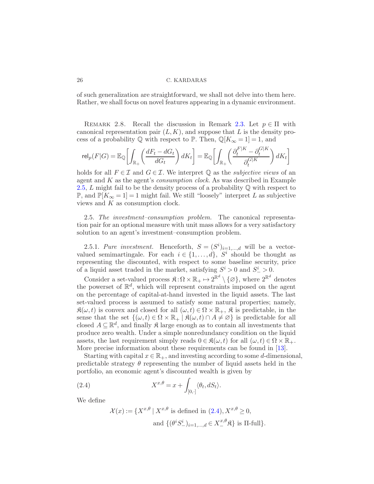<span id="page-26-1"></span>of such generalization are straightforward, we shall not delve into them here. Rather, we shall focus on novel features appearing in a dynamic environment.

REMARK 2.8. Recall the discussion in Remark [2.3.](#page-19-1) Let  $p \in \Pi$  with canonical representation pair  $(L,K)$ , and suppose that L is the density process of a probability  $\mathbb Q$  with respect to  $\mathbb P$ . Then,  $\mathbb Q[K_{\infty} = 1] = 1$ , and

$$
\mathrm{rel}_p(F|G) = \mathbb{E}_{\mathbb{Q}}\left[\int_{\mathbb{R}_+} \left(\frac{dF_t - dG_t}{dG_t}\right) dK_t\right] = \mathbb{E}_{\mathbb{Q}}\left[\int_{\mathbb{R}_+} \left(\frac{\partial_t^{F|K} - \partial_t^{G|K}}{\partial_t^{G|K}}\right) dK_t\right]
$$

holds for all  $F \in \mathcal{I}$  and  $G \in \mathcal{I}$ . We interpret  $\mathbb{Q}$  as the *subjective views* of an agent and K as the agent's *consumption clock*. As was described in Example [2.5,](#page-24-0)  $L$  might fail to be the density process of a probability  $\mathbb Q$  with respect to P, and  $\mathbb{P}[K_{\infty} = 1] = 1$  might fail. We still "loosely" interpret L as subjective views and K as consumption clock.

2.5. *The investment–consumption problem.* The canonical representation pair for an optional measure with unit mass allows for a very satisfactory solution to an agent's investment–consumption problem.

<span id="page-26-2"></span>2.5.1. *Pure investment*. Henceforth,  $S = (S^i)_{i=1,\dots,d}$  will be a vectorvalued semimartingale. For each  $i \in \{1, \ldots, d\}$ ,  $S^i$  should be thought as representing the discounted, with respect to some baseline security, price of a liquid asset traded in the market, satisfying  $S^i > 0$  and  $S^i$  > 0.

Consider a set-valued process  $\mathfrak{K}: \Omega \times \mathbb{R}_+ \mapsto 2^{\mathbb{R}^d} \setminus \{\varnothing\}$ , where  $2^{\mathbb{R}^d}$  denotes the powerset of  $\mathbb{R}^d$ , which will represent constraints imposed on the agent on the percentage of capital-at-hand invested in the liquid assets. The last set-valued process is assumed to satisfy some natural properties; namely,  $\mathfrak{K}(\omega, t)$  is convex and closed for all  $(\omega, t) \in \Omega \times \mathbb{R}_+$ ,  $\mathfrak{K}$  is predictable, in the sense that the set  $\{(\omega, t) \in \Omega \times \mathbb{R}_+ \mid \mathfrak{K}(\omega, t) \cap A \neq \emptyset\}$  is predictable for all closed  $A \subseteq \mathbb{R}^d$ , and finally  $\mathfrak K$  large enough as to contain all investments that produce zero wealth. Under a simple nonredundancy condition on the liquid assets, the last requirement simply reads  $0 \in \mathcal{R}(\omega, t)$  for all  $(\omega, t) \in \Omega \times \mathbb{R}_+$ . More precise information about these requirements can be found in [\[13](#page-33-12)].

Starting with capital  $x \in \mathbb{R}_+$ , and investing according to some d-dimensional, predictable strategy  $\theta$  representing the number of liquid assets held in the portfolio, an economic agent's discounted wealth is given by

(2.4) 
$$
X^{x,\theta} = x + \int_{[0,\cdot]} \langle \theta_t, dS_t \rangle.
$$

We define

<span id="page-26-0"></span>
$$
\mathcal{X}(x) := \{ X^{x,\theta} \mid X^{x,\theta} \text{ is defined in } (2.4), X^{x,\theta} \ge 0,
$$
  
and 
$$
\{ (\theta^i S^i_-)_{i=1,\dots,d} \in X^{x,\theta}_- \mathfrak{K} \} \text{ is } \Pi\text{-full} \}.
$$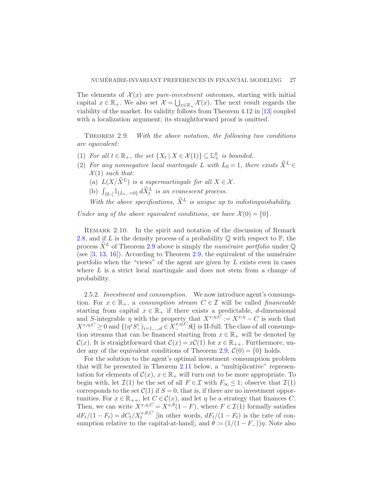The elements of  $\mathcal{X}(x)$  are *pure-investment* outcomes, starting with initial capital  $x \in \mathbb{R}_+$ . We also set  $\mathcal{X} = \bigcup_{x \in \mathbb{R}_+} \mathcal{X}(x)$ . The next result regards the viability of the market. Its validity follows from Theorem 4.12 in [\[13](#page-33-12)] coupled with a localization argument; its straightforward proof is omitted.

<span id="page-27-0"></span>Theorem 2.9. *With the above notation, the following two conditions are equivalent:*

- (1) *For all*  $t \in \mathbb{R}_+$ *, the set*  $\{X_t | X \in \mathcal{X}(1)\} \subseteq \mathbb{L}^0_+$  *is bounded.*
- (2) For any nonnegative local martingale L with  $L_0 = 1$ , there exists  $\widehat{X}^L \in$  $\mathcal{X}(1)$  *such that:* 
	- (a)  $L(X/\hat{X}^L)$  *is a supermartingale for all*  $X \in \mathcal{X}$ *.*
	- (b)  $\int_{(0,\cdot]} \mathbb{I}_{\{L_{t-}=0\}} d\widehat{X}_{t}^{L}$  is an evanescent process.
	- With the above specifications,  $\hat{X}^L$  is unique up to indistinguishability.

*Under any of the above equivalent conditions, we have*  $\mathcal{X}(0) = \{0\}.$ 

Remark 2.10. In the spirit and notation of the discussion of Remark [2.8,](#page-26-1) and if L is the density process of a probability  $\mathbb Q$  with respect to  $\mathbb P$ , the process  $\hat{X}^L$  of Theorem [2.9](#page-27-0) above is simply the *numéraire portfolio* under  $\mathbb{Q}$ (see  $[3, 13, 16]$  $[3, 13, 16]$  $[3, 13, 16]$  $[3, 13, 16]$ ). According to Theorem [2.9,](#page-27-0) the equivalent of the numéraire portfolio when the "views" of the agent are given by  $L$  exists even in cases where  $L$  is a strict local martingale and does not stem from a change of probability.

2.5.2. *Investment and consumption.* We now introduce agent's consumption. For  $x \in \mathbb{R}_+$ , a *consumption stream*  $C \in \mathcal{I}$  will be called *financeable* starting from capital  $x \in \mathbb{R}_+$  if there exists a predictable, d-dimensional and S-integrable  $\eta$  with the property that  $X^{x,\eta,C} := X^{x,\eta} - C$  is such that  $X^{x,\eta,C} \geq 0$  and  $\{(\eta^i S^i_-)_{i=1,\dots,d} \in X^{x,\eta,C}_{-} \mathfrak{K}\}\$ is II-full. The class of all consumption streams that can be financed starting from  $x \in \mathbb{R}_+$  will be denoted by  $\mathcal{C}(x)$ . It is straightforward that  $\mathcal{C}(x) = x\mathcal{C}(1)$  for  $x \in \mathbb{R}_{++}$ . Furthermore, un-der any of the equivalent conditions of Theorem [2.9,](#page-27-0)  $\mathcal{C}(0) = \{0\}$  holds.

For the solution to the agent's optimal investment–consumption problem that will be presented in Theorem [2.11](#page-28-0) below, a "multiplicative" representation for elements of  $\mathcal{C}(x)$ ,  $x \in \mathbb{R}_+$  will turn out to be more appropriate. To begin with, let  $\mathcal{I}(1)$  be the set of all  $F \in \mathcal{I}$  with  $F_{\infty} \leq 1$ ; observe that  $\mathcal{I}(1)$ corresponds to the set  $C(1)$  if  $S = 0$ , that is, if there are no investment opportunities. For  $x \in \mathbb{R}_{++}$ , let  $C \in \mathcal{C}(x)$ , and let  $\eta$  be a strategy that finances C. Then, we can write  $X^{x,\eta,C} = X^{x,\theta}(1 - F)$ , where  $F \in \mathcal{I}(1)$  formally satisfies  $dF_t/(1 - F_t) = dC_t/X_t^{x,\theta,C}$  [in other words,  $dF_t/(1 - F_t)$  is the rate of consumption relative to the capital-at-hand, and  $\theta := (1/(1 - F_{-}))\eta$ . Note also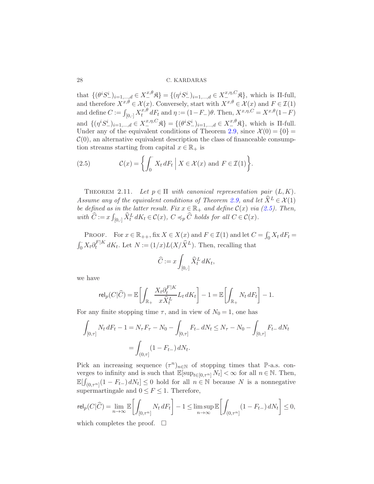that  $\{(\theta^i S^i_-)_{i=1,\dots,d} \in X^{x,\theta}_-\mathfrak{K}\} = \{(\eta^i S^i_-)_{i=1,\dots,d} \in X^{x,\eta,C}_-\mathfrak{K}\},\$  which is  $\Pi$ -full, and therefore  $X^{x,\theta} \in \mathcal{X}(x)$ . Conversely, start with  $X^{x,\theta} \in \mathcal{X}(x)$  and  $F \in \mathcal{I}(1)$ and define  $C := \int_{[0, \cdot]} X_t^{x, \theta}$  $t^{x,\theta}_{t} dF_{t}$  and  $\eta := (1 - F_{-})\theta$ . Then,  $X^{x,\eta,C} = X^{x,\theta}(1 - F)$ and  $\{(\eta^i S^i_-)_{i=1,\dots,d} \in X^{x,\eta,C}_{-} \mathfrak{K}\} = \{(\theta^i S^i_-)_{i=1,\dots,d} \in X^{x,\theta}_{-} \mathfrak{K}\},\$  which is  $\Pi$ -full. Under any of the equivalent conditions of Theorem [2.9,](#page-27-0) since  $\mathcal{X}(0) = \{0\}$  $\mathcal{C}(0)$ , an alternative equivalent description the class of financeable consumption streams starting from capital  $x \in \mathbb{R}_+$  is

<span id="page-28-1"></span><span id="page-28-0"></span>(2.5) 
$$
\mathcal{C}(x) = \left\{ \int_0^{\cdot} X_t dF_t \mid X \in \mathcal{X}(x) \text{ and } F \in \mathcal{I}(1) \right\}.
$$

THEOREM 2.11. Let  $p \in \Pi$  with canonical representation pair  $(L, K)$ . *Assume any of the equivalent conditions of Theorem [2.9,](#page-27-0) and let*  $\hat{X}^L \in \mathcal{X}(1)$ *be defined as in the latter result. Fix*  $x \in \mathbb{R}_+$  *and define*  $\mathcal{C}(x)$  *via* [\(2.5\)](#page-28-1)*. Then,*  $with \ \hat{C} := x \int_{[0,\cdot]} \widehat{X}_t^L dK_t \in \mathcal{C}(x), \ C \preccurlyeq_p \widehat{C} \ holds \ for \ all \ C \in \mathcal{C}(x).$ 

PROOF. For  $x \in \mathbb{R}_{++}$ , fix  $X \in X(x)$  and  $F \in \mathcal{I}(1)$  and let  $C = \int_0^{\cdot} X_t dF_t =$  $\int_0^{\cdot} X_t \partial_t^{F|K}$  $t^{F|K} dK_t$ . Let  $N := (1/x)L(X/\hat{X}^L)$ . Then, recalling that

$$
\widehat{C} := x \int_{[0,\cdot]} \widehat{X}_t^L dK_t,
$$

we have

$$
\operatorname{rel}_p(C|\widehat{C}) = \mathbb{E}\bigg[\int_{\mathbb{R}_+} \frac{X_t \partial_t^{F|K}}{x \widehat{X}_t^L} L_t dK_t \bigg] - 1 = \mathbb{E}\bigg[\int_{\mathbb{R}_+} N_t dF_t \bigg] - 1.
$$

For any finite stopping time  $\tau$ , and in view of  $N_0 = 1$ , one has

$$
\int_{[0,\tau]} N_t dF_t - 1 = N_\tau F_\tau - N_0 - \int_{[0,\tau]} F_{t-} dN_t \le N_\tau - N_0 - \int_{[0,\tau]} F_{t-} dN_t
$$

$$
= \int_{(0,\tau]} (1 - F_{t-}) dN_t.
$$

Pick an increasing sequence  $(\tau^n)_{n\in\mathbb{N}}$  of stopping times that P-a.s. converges to infinity and is such that  $\mathbb{E}[\sup_{t\in[0,\tau^n]} N_t] < \infty$  for all  $n \in \mathbb{N}$ . Then,  $\mathbb{E}[\int_{(0,\tau^n]}(1-F_{t-})dN_t] \leq 0$  hold for all  $n \in \mathbb{N}$  because N is a nonnegative supermartingale and  $0 \leq F \leq 1$ . Therefore,

$$
\mathrm{rel}_p(C|\widehat{C})=\lim_{n\to\infty}\mathbb{E}\bigg[\int_{[0,\tau^n]}N_t\,dF_t\bigg]-1\leq\limsup_{n\to\infty}\mathbb{E}\bigg[\int_{(0,\tau^n]}(1-F_{t-})\,dN_t\bigg]\leq0,
$$

which completes the proof.  $\square$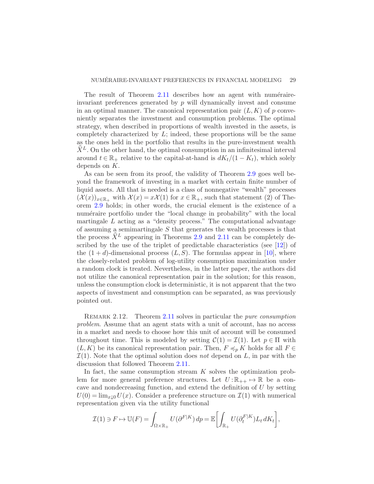The result of Theorem  $2.11$  describes how an agent with numéraireinvariant preferences generated by  $p$  will dynamically invest and consume in an optimal manner. The canonical representation pair  $(L,K)$  of p conveniently separates the investment and consumption problems. The optimal strategy, when described in proportions of wealth invested in the assets, is completely characterized by  $L$ ; indeed, these proportions will be the same as the ones held in the portfolio that results in the pure-investment wealth  $\widehat{X}^L$ . On the other hand, the optimal consumption in an infinitesimal interval around  $t \in \mathbb{R}_+$  relative to the capital-at-hand is  $dK_t/(1 - K_t)$ , which solely depends on K.

As can be seen from its proof, the validity of Theorem [2.9](#page-27-0) goes well beyond the framework of investing in a market with certain finite number of liquid assets. All that is needed is a class of nonnegative "wealth" processes  $(\mathcal{X}(x))_{x\in\mathbb{R}_+}$  with  $\mathcal{X}(x)=x\mathcal{X}(1)$  for  $x\in\mathbb{R}_+$ , such that statement (2) of Theorem [2.9](#page-27-0) holds; in other words, the crucial element is the existence of a numéraire portfolio under the "local change in probability" with the local martingale  $L$  acting as a "density process." The computational advantage of assuming a semimartingale  $S$  that generates the wealth processes is that the process  $\widehat{X}^L$  appearing in Theorems [2.9](#page-27-0) and [2.11](#page-28-0) can be completely described by the use of the triplet of predictable characteristics (see [\[12](#page-33-8)]) of the  $(1+d)$ -dimensional process  $(L, S)$ . The formulas appear in [\[10](#page-33-0)], where the closely-related problem of log-utility consumption maximization under a random clock is treated. Nevertheless, in the latter paper, the authors did not utilize the canonical representation pair in the solution; for this reason, unless the consumption clock is deterministic, it is not apparent that the two aspects of investment and consumption can be separated, as was previously pointed out.

Remark 2.12. Theorem [2.11](#page-28-0) solves in particular the *pure consumption problem*. Assume that an agent stats with a unit of account, has no access in a market and needs to choose how this unit of account will be consumed throughout time. This is modeled by setting  $\mathcal{C}(1) = \mathcal{I}(1)$ . Let  $p \in \Pi$  with  $(L,K)$  be its canonical representation pair. Then,  $F \preccurlyeq_p K$  holds for all  $F \in$  $\mathcal{I}(1)$ . Note that the optimal solution does *not* depend on L, in par with the discussion that followed Theorem [2.11.](#page-28-0)

In fact, the same consumption stream  $K$  solves the optimization problem for more general preference structures. Let  $U:\mathbb{R}_{++} \mapsto \mathbb{R}$  be a concave and nondecreasing function, and extend the definition of U by setting  $U(0) = \lim_{x\downarrow 0} U(x)$ . Consider a preference structure on  $\mathcal{I}(1)$  with numerical representation given via the utility functional

$$
\mathcal{I}(1) \ni F \mapsto \mathbb{U}(F) = \int_{\Omega \times \mathbb{R}_+} U(\partial^{F|K}) dp = \mathbb{E} \left[ \int_{\mathbb{R}_+} U(\partial_t^{F|K}) L_t dK_t \right],
$$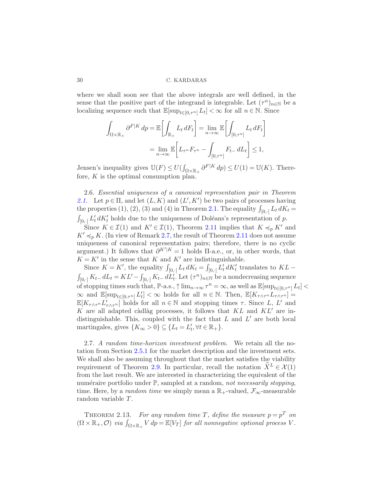where we shall soon see that the above integrals are well defined, in the sense that the positive part of the integrand is integrable. Let  $(\tau^n)_{n\in\mathbb{N}}$  be a localizing sequence such that  $\mathbb{E}[\sup_{t\in[0,\tau^n]} L_t] < \infty$  for all  $n \in \mathbb{N}$ . Since

$$
\int_{\Omega \times \mathbb{R}_+} \partial^{F|K} dp = \mathbb{E} \bigg[ \int_{\mathbb{R}_+} L_t dF_t \bigg] = \lim_{n \to \infty} \mathbb{E} \bigg[ \int_{[0, \tau^n]} L_t dF_t \bigg]
$$

$$
= \lim_{n \to \infty} \mathbb{E} \bigg[ L_{\tau^n} F_{\tau^n} - \int_{[0, \tau^n]} F_{t-} dL_t \bigg] \le 1,
$$

Jensen's inequality gives  $\mathbb{U}(F) \leq U(\int_{\Omega \times \mathbb{R}_+} \partial^{F|K} dp) \leq U(1) = \mathbb{U}(K)$ . Therefore,  $K$  is the optimal consumption plan.

<span id="page-30-0"></span>2.6. *Essential uniqueness of a canonical representation pair in Theorem* [2.1.](#page-19-0) Let  $p \in \Pi$ , and let  $(L, K)$  and  $(L', K')$  be two pairs of processes having the properties (1), (2), (3) and (4) in Theorem [2.1.](#page-19-0) The equality  $\int_{[0,\cdot]} L_t dK_t =$  $\int_{[0,1]} L'_t dK'_t$  holds due to the uniqueness of Doléans's representation of p.

Since  $K \in \mathcal{I}(1)$  and  $K' \in \mathcal{I}(1)$ , Theorem [2.11](#page-28-0) implies that  $K \preccurlyeq_p K'$  and  $K' \preccurlyeq_p K$ . (In view of Remark [2.7,](#page-25-1) the result of Theorem [2.11](#page-28-0) does not assume uniqueness of canonical representation pairs; therefore, there is no cyclic argument.) It follows that  $\partial^{K'|K} = 1$  holds  $\Pi$ -a.e., or, in other words, that  $K = K'$  in the sense that K and K' are indistinguishable.

Since  $K = K'$ , the equality  $\int_{[0, \cdot]} L_t dK_t = \int_{[0, \cdot]} L'_t dK'_t$  translates to  $KL$  –  $\int_{[0,\cdot]} K_{t-} dL_t = KL' - \int_{[0,\cdot]} K_{t-} dL'_t$ . Let  $(\tau^n)_{n \in \mathbb{N}}$  be a nondecreasing sequence of stopping times such that,  $\mathbb{P}\text{-a.s.,}\uparrow \lim_{n\to\infty} \tau^n = \infty$ , as well as  $\mathbb{E}[\sup_{t\in [0,\tau^n]} L_t] <$  $\infty$  and  $\mathbb{E}[\sup_{t\in[0,\tau^n]}L'_t]<\infty$  holds for all  $n\in\mathbb{N}$ . Then,  $\mathbb{E}[K_{\tau\wedge\tau^n}L_{\tau\wedge\tau^n}]=$  $\mathbb{E}[K_{\tau\wedge\tau^n}L'_{\tau\wedge\tau^n}]$  holds for all  $n \in \mathbb{N}$  and stopping times  $\tau$ . Since L, L' and K are all adapted càdlàg processes, it follows that  $KL$  and  $KL'$  are indistinguishable. This, coupled with the fact that  $L$  and  $L'$  are both local martingales, gives  $\{K_{\infty} > 0\} \subseteq \{L_t = L'_t, \forall t \in \mathbb{R}_+\}.$ 

2.7. *A random time-horizon investment problem.* We retain all the notation from Section [2.5.1](#page-26-2) for the market description and the investment sets. We shall also be assuming throughout that the market satisfies the viability requirement of Theorem [2.9.](#page-27-0) In particular, recall the notation  $\widehat{X}^L \in \mathcal{X}(1)$ from the last result. We are interested in characterizing the equivalent of the numéraire portfolio under  $\mathbb{P}$ , sampled at a random, *not necessarily stopping*, time. Here, by a *random time* we simply mean a  $\mathbb{R}_+$ -valued,  $\mathcal{F}_{\infty}$ -measurable random variable T.

<span id="page-30-1"></span>THEOREM 2.13. For any random time T, define the measure  $p = p<sup>T</sup>$  on  $(\Omega \times \mathbb{R}_+, \mathcal{O})$  *via*  $\int_{\Omega \times \mathbb{R}_+} V dp = \mathbb{E}[V_T]$  *for all nonnegative optional process* V.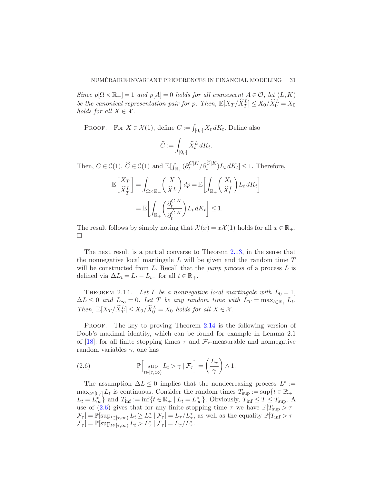*Since*  $p[\Omega \times \mathbb{R}_+] = 1$  *and*  $p[A] = 0$  *holds for all evanescent*  $A \in \mathcal{O}$ , let  $(L, K)$ *be the canonical representation pair for* p. Then,  $\mathbb{E}[X_T/\hat{X}_T^L] \leq X_0/\hat{X}_0^L = X_0$ *holds for all*  $X \in \mathcal{X}$ *.* 

PROOF. For  $X \in \mathcal{X}(1)$ , define  $C := \int_{[0, \cdot]} X_t dK_t$ . Define also

$$
\widehat{C}:=\int_{[0,\cdot]} \widehat{X}^L_t \, dK_t.
$$

Then,  $C \in \mathcal{C}(1)$ ,  $\widehat{C} \in \mathcal{C}(1)$  and  $\mathbb{E}[\int_{\mathbb{R}_+} (\partial_t^{C|K}$  $t_c^{C|K}/\partial_t^{\widehat{C}|K})L_t dK_t] \leq 1.$  Therefore,

$$
\mathbb{E}\left[\frac{X_T}{\widehat{X}_T^L}\right] = \int_{\Omega \times \mathbb{R}_+} \left(\frac{X}{\widehat{X}^L}\right) dp = \mathbb{E}\left[\int_{\mathbb{R}_+} \left(\frac{X_t}{\widehat{X}_t^L}\right) L_t dK_t\right]
$$

$$
= \mathbb{E}\left[\int_{\mathbb{R}_+} \left(\frac{\partial_t^{C|K}}{\partial_t^{\widehat{C}|K}}\right) L_t dK_t\right] \le 1.
$$

The result follows by simply noting that  $\mathcal{X}(x) = x\mathcal{X}(1)$  holds for all  $x \in \mathbb{R}_+$ .  $\Box$ 

The next result is a partial converse to Theorem [2.13,](#page-30-1) in the sense that the nonnegative local martingale  $L$  will be given and the random time  $T$ will be constructed from L. Recall that the *jump process* of a process L is defined via  $\Delta L_t = L_t - L_{t-}$  for all  $t \in \mathbb{R}_+$ .

<span id="page-31-1"></span>THEOREM 2.14. Let L be a nonnegative local martingale with  $L_0 = 1$ ,  $\Delta L \leq 0$  and  $L_{\infty} = 0$ . Let T be any random time with  $L_T = \max_{t \in \mathbb{R}_+} L_t$ . *Then,*  $\mathbb{E}[X_T/\hat{X}_T^L] \leq X_0/\hat{X}_0^L = X_0$  *holds for all*  $X \in \mathcal{X}$ *.* 

PROOF. The key to proving Theorem [2.14](#page-31-1) is the following version of Doob's maximal identity, which can be found for example in Lemma 2.1 of [\[18\]](#page-34-12): for all finite stopping times  $\tau$  and  $\mathcal{F}_{\tau}$ -measurable and nonnegative random variables  $\gamma$ , one has

<span id="page-31-0"></span>(2.6) 
$$
\mathbb{P}\Big[\sup_{t\in[\tau,\infty)}L_t > \gamma \mid \mathcal{F}_\tau\Big] = \left(\frac{L_\tau}{\gamma}\right) \wedge 1.
$$

The assumption  $\Delta L \leq 0$  implies that the nondecreasing process  $L^* :=$  $\max_{t \in [0, \cdot]} L_t$  is continuous. Consider the random times  $T_{\text{sup}} := \sup \{ t \in \mathbb{R}_+ \mid$  $L_t = L_{\infty}^*$  and  $T_{\text{inf}} := \inf\{t \in \mathbb{R}_+ \mid L_t = L_{\infty}^*\}$ . Obviously,  $T_{\text{inf}} \leq T \leq T_{\text{sup}}$ . A use of [\(2.6\)](#page-31-0) gives that for any finite stopping time  $\tau$  we have  $\mathbb{P}[T_{\text{sup}} > \tau]$  $\mathcal{F}_{\tau}$ ] =  $\mathbb{P}[\sup_{t \in [\tau,\infty)} L_t \geq L_{\tau}^* | \mathcal{F}_{\tau}] = L_{\tau}/L_{\tau}^*$ , as well as the equality  $\mathbb{P}[T_{\text{inf}} > \tau]$  $\mathcal{F}_{\tau}$ ] =  $\mathbb{P}[\sup_{t\in[\tau,\infty)}L_t>L_{\tau}^*|\mathcal{F}_{\tau}] = L_{\tau}/L_{\tau}^*.$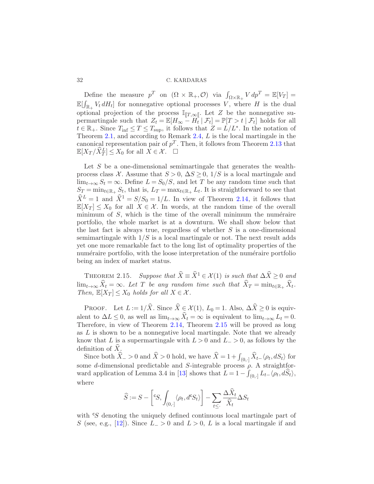Define the measure  $p^T$  on  $(\Omega \times \mathbb{R}_+, \mathcal{O})$  via  $\int_{\Omega \times \mathbb{R}_+} V dp^T = \mathbb{E}[V_T] =$  $\mathbb{E}[\int_{\mathbb{R}_+} V_t dH_t]$  for nonnegative optional processes V, where H is the dual optional projection of the process  $\mathbb{I}_{T,\infty}$ . Let Z be the nonnegative supermartingale such that  $Z_t = \mathbb{E}[H_{\infty} - H_t | \mathcal{F}_t] = \mathbb{P}[T > t | \mathcal{F}_t]$  holds for all  $t \in \mathbb{R}_+$ . Since  $T_{\text{inf}} \leq T \leq T_{\text{sup}}$ , it follows that  $Z = L/L^*$ . In the notation of Theorem [2.1,](#page-19-0) and according to Remark [2.4,](#page-23-0) L is the local martingale in the canonical representation pair of  $p<sup>T</sup>$ . Then, it follows from Theorem [2.13](#page-30-1) that  $\mathbb{E}[X_T/\widehat{X}_T^L] \leq X_0$  for all  $X \in \mathcal{X}$ .  $\Box$ 

Let  $S$  be a one-dimensional semimartingale that generates the wealthprocess class X. Assume that  $S > 0$ ,  $\Delta S \geq 0$ ,  $1/S$  is a local martingale and  $\lim_{t\to\infty} S_t = \infty$ . Define  $L = S_0/S$ , and let T be any random time such that  $S_T = \min_{t \in \mathbb{R}_+} S_t$ , that is,  $L_T = \max_{t \in \mathbb{R}_+} L_t$ . It is straightforward to see that  $\hat{X}^L = 1$  and  $\hat{X}^1 = S/S_0 = 1/L$ . In view of Theorem [2.14,](#page-31-1) it follows that  $\mathbb{E}[X_T] \leq X_0$  for all  $X \in \mathcal{X}$ . In words, at the random time of the overall minimum of  $S$ , which is the time of the overall minimum the numéraire portfolio, the whole market is at a downturn. We shall show below that the last fact is always true, regardless of whether  $S$  is a one-dimensional semimartingale with  $1/S$  is a local martingale or not. The next result adds yet one more remarkable fact to the long list of optimality properties of the numéraire portfolio, with the loose interpretation of the numéraire portfolio being an index of market status.

<span id="page-32-0"></span>THEOREM 2.15. *Suppose that*  $\widehat{X} = \widehat{X}^1 \in \mathcal{X}(1)$  *is such that*  $\Delta \widehat{X} \geq 0$  *and*  $\lim_{t\to\infty} X_t = \infty$ *. Let* T *be any random time such that*  $X_T = \min_{t\in\mathbb{R}_+} X_t$ *. Then,*  $\mathbb{E}[X_T] \leq X_0$  *holds for all*  $X \in \mathcal{X}$ *.* 

PROOF. Let  $L := 1/\hat{X}$ . Since  $\hat{X} \in \mathcal{X}(1), L_0 = 1$ . Also,  $\Delta \hat{X} \ge 0$  is equivalent to  $\Delta L \leq 0$ , as well as  $\lim_{t\to\infty} \widehat{X}_t = \infty$  is equivalent to  $\lim_{t\to\infty} L_t = 0$ . Therefore, in view of Theorem [2.14,](#page-31-1) Theorem [2.15](#page-32-0) will be proved as long as  $L$  is shown to be a nonnegative local martingale. Note that we already know that L is a supermartingale with  $L > 0$  and  $L > 0$ , as follows by the definition of  $X$ .

Since both  $\widehat{X}_- > 0$  and  $\widehat{X} > 0$  hold, we have  $\widehat{X} = 1 + \int_{(0, \cdot]} \widehat{X}_{t-} \langle \rho_t, dS_t \rangle$  for some d-dimensional predictable and S-integrable process  $\rho$ . A straightfor-ward application of Lemma 3.4 in [\[13](#page-33-12)] shows that  $\hat{L} = 1 - \int_{(0, \cdot]} L_{t-} \langle \rho_t, d\hat{S}_t \rangle$ , where

$$
\widehat{S} := S - \left[ {}^cS, \int_{(0, \cdot]} \langle \rho_t, d{}^c S_t \rangle \right] - \sum_{t \le \cdot} \frac{\Delta \widehat{X}_t}{\widehat{X}_t} \Delta S_t
$$

with <sup>c</sup>S denoting the uniquely defined continuous local martingale part of S (see, e.g., [\[12](#page-33-8)]). Since  $L > 0$  and  $L > 0$ , L is a local martingale if and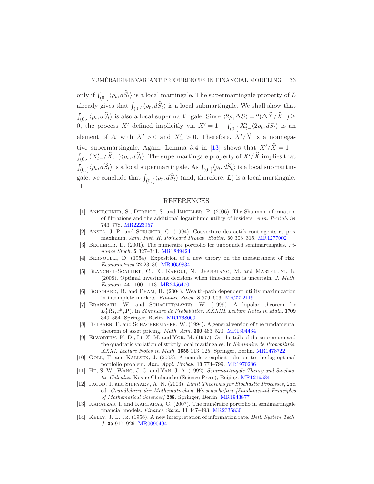only if  $\int_{(0, \cdot]} \langle \rho_t, d\hat{S}_t \rangle$  is a local martingale. The supermartingale property of L already gives that  $\int_{(0, \cdot]} \langle \rho_t, d\hat{S}_t \rangle$  is a local submartingale. We shall show that  $\int_{(0, \cdot]} \langle \rho_t, d\hat{S}_t \rangle$  is also a local supermartingale. Since  $\langle 2\rho, \Delta S \rangle = 2(\Delta \hat{X}/\hat{X}_-) \ge$ 0, the process X' defined implicitly via  $X' = 1 + \int_{(0, \cdot]} X'_{t-} \langle 2\rho_t, dS_t \rangle$  is an element of X with  $X' > 0$  and  $X' > 0$ . Therefore,  $X'/\widehat{X}$  is a nonnega-tive supermartingale. Again, Lemma 3.4 in [\[13](#page-33-12)] shows that  $X'/\hat{X} = 1 +$  $\int_{(0,\cdot]} (X'_t-\hat{X}_t-\hat{X}_t) \langle \rho_t, d\hat{S}_t \rangle$ . The supermartingale property of  $X'/\hat{X}$  implies that  $\int_{(0, \cdot]} \langle \rho_t, d\hat{S}_t \rangle$  is a local supermartingale. As  $\int_{(0, \cdot]} \langle \rho_t, d\hat{S}_t \rangle$  is a local submartingale, we conclude that  $\int_{(0, \cdot]} \langle \rho_t, d\hat{S}_t \rangle$  (and, therefore, L) is a local martingale.  $\Box$ 

#### REFERENCES

- <span id="page-33-1"></span>[1] Ankirchner, S., Dereich, S. and Imkeller, P. (2006). The Shannon information of filtrations and the additional logarithmic utility of insiders. Ann. Probab. 34 743–778. [MR2223957](http://www.ams.org/mathscinet-getitem?mr=2223957)
- <span id="page-33-10"></span>[2] Ansel, J.-P. and Stricker, C. (1994). Couverture des actifs contingents et prix maximum. Ann. Inst. H. Poincaré Probab. Statist. 30 303-315. [MR1277002](http://www.ams.org/mathscinet-getitem?mr=1277002)
- <span id="page-33-13"></span>BECHERER, D.  $(2001)$ . The numeraire portfolio for unbounded semimartingales. Finance Stoch. 5 327–341. [MR1849424](http://www.ams.org/mathscinet-getitem?mr=1849424)
- <span id="page-33-2"></span>[4] Bernoulli, D. (1954). Exposition of a new theory on the measurement of risk. Econometrica 22 23–36. [MR0059834](http://www.ams.org/mathscinet-getitem?mr=0059834)
- <span id="page-33-5"></span>[5] Blanchet-Scalliet, C., El Karoui, N., Jeanblanc, M. and Martellini, L. (2008). Optimal investment decisions when time-horizon is uncertain. J. Math. Econom. 44 1100–1113. [MR2456470](http://www.ams.org/mathscinet-getitem?mr=2456470)
- <span id="page-33-4"></span>[6] Bouchard, B. and Pham, H. (2004). Wealth-path dependent utility maximization in incomplete markets. Finance Stoch. 8 579–603. [MR2212119](http://www.ams.org/mathscinet-getitem?mr=2212119)
- <span id="page-33-6"></span>[7] Brannath, W. and Schachermayer, W. (1999). A bipolar theorem for  $L_+^0(\Omega,\mathscr{F},\mathbf{P})$ . In Séminaire de Probabilités, XXXIII. Lecture Notes in Math. 1709 349–354. Springer, Berlin. [MR1768009](http://www.ams.org/mathscinet-getitem?mr=1768009)
- <span id="page-33-7"></span>[8] Delbaen, F. and Schachermayer, W. (1994). A general version of the fundamental theorem of asset pricing. Math. Ann. 300 463–520. [MR1304434](http://www.ams.org/mathscinet-getitem?mr=1304434)
- <span id="page-33-9"></span>[9] Elworthy, K. D., Li, X. M. and Yor, M. (1997). On the tails of the supremum and the quadratic variation of strictly local martingales. In  $Séminaire de Probabilities$ , XXXI. Lecture Notes in Math. 1655 113–125. Springer, Berlin. [MR1478722](http://www.ams.org/mathscinet-getitem?mr=1478722)
- <span id="page-33-0"></span>[10] Goll, T. and Kallsen, J. (2003). A complete explicit solution to the log-optimal portfolio problem. Ann. Appl. Probab. 13 774–799. [MR1970286](http://www.ams.org/mathscinet-getitem?mr=1970286)
- <span id="page-33-11"></span>[11] He, S. W., Wang, J. G. and Yan, J. A. (1992). Semimartingale Theory and Stochastic Calculus. Kexue Chubanshe (Science Press), Beijing. [MR1219534](http://www.ams.org/mathscinet-getitem?mr=1219534)
- <span id="page-33-8"></span>[12] Jacod, J. and Shiryaev, A. N. (2003). Limit Theorems for Stochastic Processes, 2nd ed. Grundlehren der Mathematischen Wissenschaften [Fundamental Principles of Mathematical Sciences] 288. Springer, Berlin. [MR1943877](http://www.ams.org/mathscinet-getitem?mr=1943877)
- <span id="page-33-12"></span>[13] KARATZAS, I. and KARDARAS, C. (2007). The numéraire portfolio in semimartingale financial models. Finance Stoch. 11 447–493. [MR2335830](http://www.ams.org/mathscinet-getitem?mr=2335830)
- <span id="page-33-3"></span>[14] KELLY, J. L. JR. (1956). A new interpretation of information rate. Bell. System Tech. J. 35 917–926. [MR0090494](http://www.ams.org/mathscinet-getitem?mr=0090494)